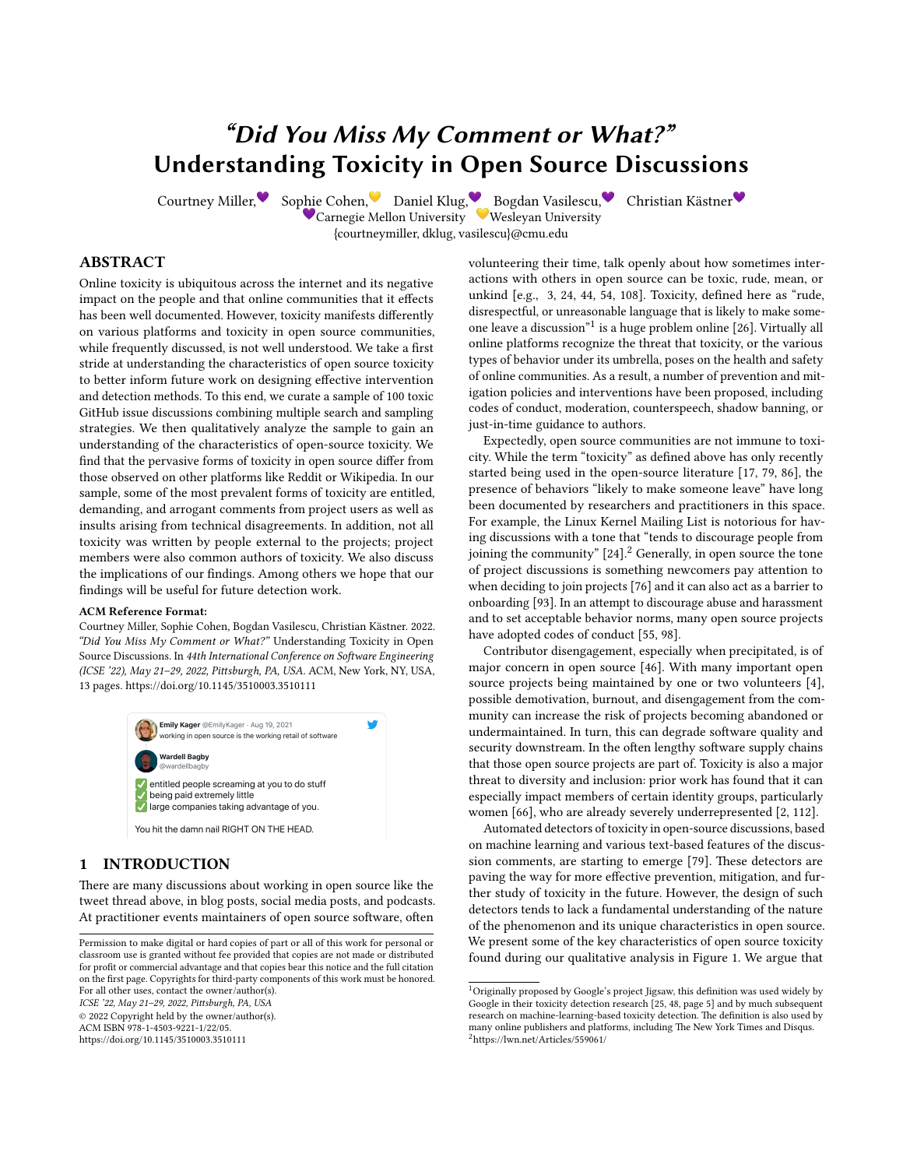# "Did You Miss My Comment or What?" Understanding Toxicity in Open Source Discussions

Carnegie Mellon University Wesleyan University {courtneymiller, dklug, vasilescu}@cmu.edu

Courtney Miller, Sophie Cohen, Daniel Klug, Bogdan Vasilescu, Christian Kästner

ABSTRACT

Online toxicity is ubiquitous across the internet and its negative impact on the people and that online communities that it effects has been well documented. However, toxicity manifests differently on various platforms and toxicity in open source communities, while frequently discussed, is not well understood. We take a first stride at understanding the characteristics of open source toxicity to better inform future work on designing effective intervention and detection methods. To this end, we curate a sample of 100 toxic GitHub issue discussions combining multiple search and sampling strategies. We then qualitatively analyze the sample to gain an understanding of the characteristics of open-source toxicity. We find that the pervasive forms of toxicity in open source differ from those observed on other platforms like Reddit or Wikipedia. In our sample, some of the most prevalent forms of toxicity are entitled, demanding, and arrogant comments from project users as well as insults arising from technical disagreements. In addition, not all toxicity was written by people external to the projects; project members were also common authors of toxicity. We also discuss the implications of our findings. Among others we hope that our findings will be useful for future detection work.

#### ACM Reference Format:

Courtney Miller, Sophie Cohen, Bogdan Vasilescu, Christian Kästner. 2022. "Did You Miss My Comment or What?" Understanding Toxicity in Open Source Discussions. In 44th International Conference on Software Engineering (ICSE '22), May 21-29, 2022, Pittsburgh, PA, USA. ACM, New York, NY, USA, [13](#page-12-0) pages.<https://doi.org/10.1145/3510003.3510111>  $\mathbf{c}$  and twitter-twitter-twitter-twitter-twitter-twitter-twitter-twitter-twitter-twitter-twitter-twitter-twitter-twitter-twitter-twitter-twitter-twitter-twitter-twitter-twitter-twitter-twitter-twitter-twitter-twitter-



## 1 INTRODUCTION

There are many discussions about working in open source like the tweet thread above, in blog posts, social media posts, and podcasts. At practitioner events maintainers of open source software, often

ICSE '22, May 21–29, 2022, Pittsburgh, PA, USA

© 2022 Copyright held by the owner/author(s).

ACM ISBN 978-1-4503-9221-1/22/05.

<https://doi.org/10.1145/3510003.3510111>

✅ ✅ unkind [e.g., [3,](#page-10-0) [24,](#page-11-0) [44,](#page-11-1) [54,](#page-11-2) [108\]](#page-12-1). Toxicity, defined here as "rude, volunteering their time, talk openly about how sometimes interactions with others in open source can be toxic, rude, mean, or disrespectful, or unreasonable language that is likely to make some-one leave a discussion"<sup>[1](#page-0-0)</sup> is a huge problem online [\[26\]](#page-11-3). Virtually all online platforms recognize the threat that toxicity, or the various types of behavior under its umbrella, poses on the health and safety of online communities. As a result, a number of prevention and mitigation policies and interventions have been proposed, including codes of conduct, moderation, counterspeech, shadow banning, or just-in-time guidance to authors.

Expectedly, open source communities are not immune to toxicity. While the term "toxicity" as defined above has only recently started being used in the open-source literature [\[17,](#page-11-4) [79,](#page-12-2) [86\]](#page-12-3), the presence of behaviors "likely to make someone leave" have long been documented by researchers and practitioners in this space. For example, the Linux Kernel Mailing List is notorious for having discussions with a tone that "tends to discourage people from joining the community"  $[24]$  $[24]$  $[24]$ .<sup>2</sup> Generally, in open source the tone of project discussions is something newcomers pay attention to when deciding to join projects [\[76\]](#page-12-4) and it can also act as a barrier to onboarding [\[93\]](#page-12-5). In an attempt to discourage abuse and harassment and to set acceptable behavior norms, many open source projects have adopted codes of conduct [\[55,](#page-11-5) [98\]](#page-12-6).

possible demotivation, burnout, and disengagement from the com-Contributor disengagement, especially when precipitated, is of major concern in open source [\[46\]](#page-11-6). With many important open source projects being maintained by one or two volunteers [\[4\]](#page-10-1), munity can increase the risk of projects becoming abandoned or undermaintained. In turn, this can degrade software quality and security downstream. In the often lengthy software supply chains that those open source projects are part of. Toxicity is also a major threat to diversity and inclusion: prior work has found that it can especially impact members of certain identity groups, particularly women [\[66\]](#page-11-7), who are already severely underrepresented [\[2,](#page-10-2) [112\]](#page-12-7).

> Automated detectors of toxicity in open-source discussions, based on machine learning and various text-based features of the discussion comments, are starting to emerge [\[79\]](#page-12-2). These detectors are paving the way for more effective prevention, mitigation, and further study of toxicity in the future. However, the design of such detectors tends to lack a fundamental understanding of the nature of the phenomenon and its unique characteristics in open source. We present some of the key characteristics of open source toxicity found during our qualitative analysis in Figure [1.](#page-1-0) We argue that

Permission to make digital or hard copies of part or all of this work for personal or classroom use is granted without fee provided that copies are not made or distributed for profit or commercial advantage and that copies bear this notice and the full citation on the first page. Copyrights for third-party components of this work must be honored. For all other uses, contact the owner/author(s).

<span id="page-0-1"></span><span id="page-0-0"></span> $^1$ Originally proposed by Google's project Jigsaw, this definition was used widely by<br>Google in their toxicity detection research [\[25,](#page-11-8) [48,](#page-11-9) page 5] and by much subsequent research on machine-learning-based toxicity detection. The definition is also used by many online publishers and platforms, including The New York Times and Disqus. <sup>2</sup><https://lwn.net/Articles/559061/>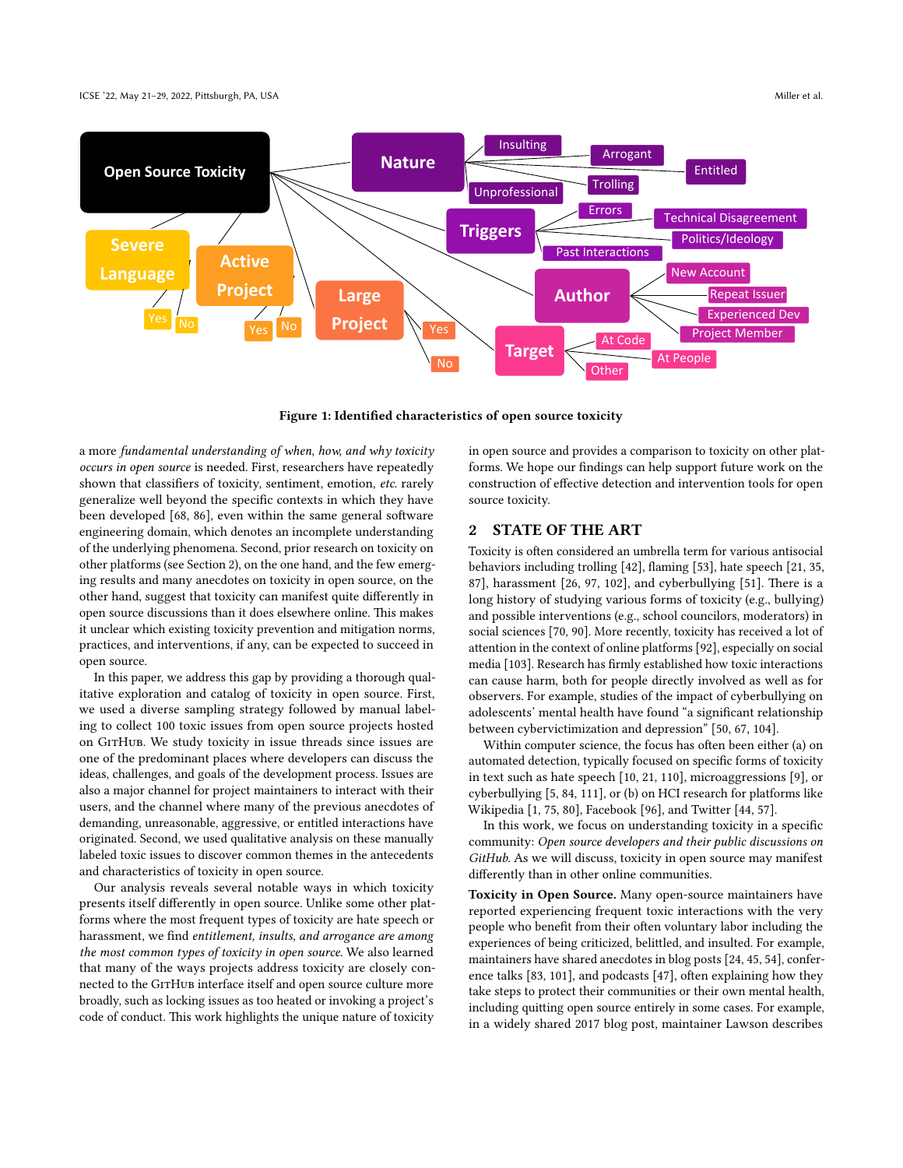#### <span id="page-1-0"></span>ICSE '22, May 21–29, 2022, Pittsburgh, PA, USA Miller et al. and the state of al. and the state of al. and the state of al. and the state of al. and the state of al. and the state of al. and the state of al. and the state



Figure 1: Identified characteristics of open source toxicity

a more fundamental understanding of when, how, and why toxicity occurs in open source is needed. First, researchers have repeatedly shown that classifiers of toxicity, sentiment, emotion, etc. rarely generalize well beyond the specific contexts in which they have been developed [\[68,](#page-12-8) [86\]](#page-12-3), even within the same general software engineering domain, which denotes an incomplete understanding of the underlying phenomena. Second, prior research on toxicity on other platforms (see Section [2\)](#page-1-1), on the one hand, and the few emerging results and many anecdotes on toxicity in open source, on the other hand, suggest that toxicity can manifest quite differently in open source discussions than it does elsewhere online. This makes it unclear which existing toxicity prevention and mitigation norms, practices, and interventions, if any, can be expected to succeed in open source.

In this paper, we address this gap by providing a thorough qualitative exploration and catalog of toxicity in open source. First, we used a diverse sampling strategy followed by manual labeling to collect 100 toxic issues from open source projects hosted on GitHub. We study toxicity in issue threads since issues are one of the predominant places where developers can discuss the ideas, challenges, and goals of the development process. Issues are also a major channel for project maintainers to interact with their users, and the channel where many of the previous anecdotes of demanding, unreasonable, aggressive, or entitled interactions have originated. Second, we used qualitative analysis on these manually labeled toxic issues to discover common themes in the antecedents and characteristics of toxicity in open source.

Our analysis reveals several notable ways in which toxicity presents itself differently in open source. Unlike some other platforms where the most frequent types of toxicity are hate speech or harassment, we find entitlement, insults, and arrogance are among the most common types of toxicity in open source. We also learned that many of the ways projects address toxicity are closely connected to the GITHUB interface itself and open source culture more broadly, such as locking issues as too heated or invoking a project's code of conduct. This work highlights the unique nature of toxicity in open source and provides a comparison to toxicity on other platforms. We hope our findings can help support future work on the construction of effective detection and intervention tools for open source toxicity.

## <span id="page-1-1"></span>2 STATE OF THE ART

Toxicity is often considered an umbrella term for various antisocial behaviors including trolling [\[42\]](#page-11-10), flaming [\[53\]](#page-11-11), hate speech [\[21,](#page-11-12) [35,](#page-11-13) [87\]](#page-12-9), harassment [\[26,](#page-11-3) [97,](#page-12-10) [102\]](#page-12-11), and cyberbullying [\[51\]](#page-11-14). There is a long history of studying various forms of toxicity (e.g., bullying) and possible interventions (e.g., school councilors, moderators) in social sciences [\[70,](#page-12-12) [90\]](#page-12-13). More recently, toxicity has received a lot of attention in the context of online platforms [\[92\]](#page-12-14), especially on social media [\[103\]](#page-12-15). Research has firmly established how toxic interactions can cause harm, both for people directly involved as well as for observers. For example, studies of the impact of cyberbullying on adolescents' mental health have found "a significant relationship between cybervictimization and depression" [\[50,](#page-11-15) [67,](#page-11-16) [104\]](#page-12-16).

Within computer science, the focus has often been either (a) on automated detection, typically focused on specific forms of toxicity in text such as hate speech [\[10,](#page-10-3) [21,](#page-11-12) [110\]](#page-12-17), microaggressions [\[9\]](#page-10-4), or cyberbullying [\[5,](#page-10-5) [84,](#page-12-18) [111\]](#page-12-19), or (b) on HCI research for platforms like Wikipedia [\[1,](#page-10-6) [75,](#page-12-20) [80\]](#page-12-21), Facebook [\[96\]](#page-12-22), and Twitter [\[44,](#page-11-1) [57\]](#page-11-17).

In this work, we focus on understanding toxicity in a specific community: Open source developers and their public discussions on GitHub. As we will discuss, toxicity in open source may manifest differently than in other online communities.

Toxicity in Open Source. Many open-source maintainers have reported experiencing frequent toxic interactions with the very people who benefit from their often voluntary labor including the experiences of being criticized, belittled, and insulted. For example, maintainers have shared anecdotes in blog posts [\[24,](#page-11-0) [45,](#page-11-18) [54\]](#page-11-2), conference talks [\[83,](#page-12-23) [101\]](#page-12-24), and podcasts [\[47\]](#page-11-19), often explaining how they take steps to protect their communities or their own mental health, including quitting open source entirely in some cases. For example, in a widely shared 2017 blog post, maintainer Lawson describes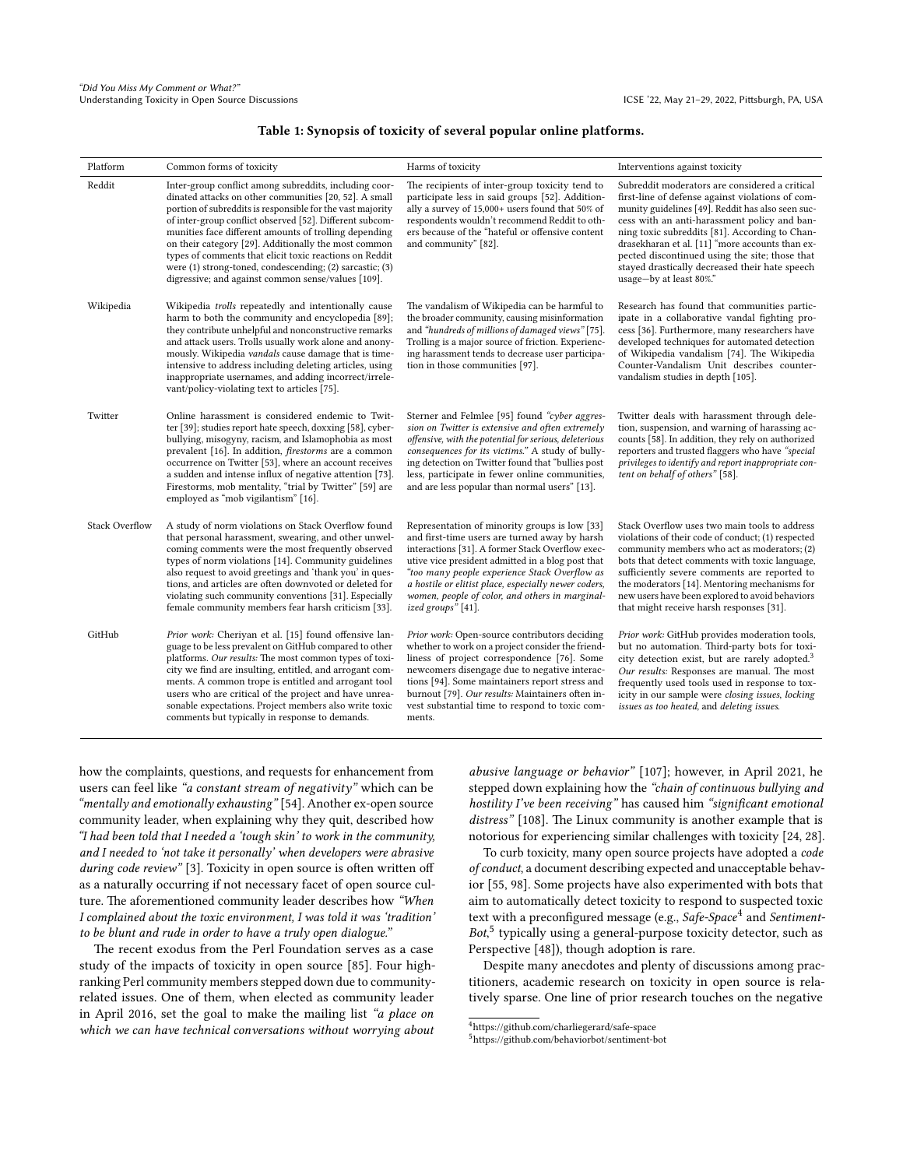#### Table 1: Synopsis of toxicity of several popular online platforms.

<span id="page-2-2"></span>

| Platform              | Common forms of toxicity                                                                                                                                                                                                                                                                                                                                                                                                                                                                                                                 | Harms of toxicity                                                                                                                                                                                                                                                                                                                                                                         | Interventions against toxicity                                                                                                                                                                                                                                                                                                                                                                                                              |
|-----------------------|------------------------------------------------------------------------------------------------------------------------------------------------------------------------------------------------------------------------------------------------------------------------------------------------------------------------------------------------------------------------------------------------------------------------------------------------------------------------------------------------------------------------------------------|-------------------------------------------------------------------------------------------------------------------------------------------------------------------------------------------------------------------------------------------------------------------------------------------------------------------------------------------------------------------------------------------|---------------------------------------------------------------------------------------------------------------------------------------------------------------------------------------------------------------------------------------------------------------------------------------------------------------------------------------------------------------------------------------------------------------------------------------------|
| Reddit                | Inter-group conflict among subreddits, including coor-<br>dinated attacks on other communities [20, 52]. A small<br>portion of subreddits is responsible for the vast majority<br>of inter-group conflict observed [52]. Different subcom-<br>munities face different amounts of trolling depending<br>on their category [29]. Additionally the most common<br>types of comments that elicit toxic reactions on Reddit<br>were (1) strong-toned, condescending; (2) sarcastic; (3)<br>digressive; and against common sense/values [109]. | The recipients of inter-group toxicity tend to<br>participate less in said groups [52]. Addition-<br>ally a survey of 15,000+ users found that 50% of<br>respondents wouldn't recommend Reddit to oth-<br>ers because of the "hateful or offensive content<br>and community" [82].                                                                                                        | Subreddit moderators are considered a critical<br>first-line of defense against violations of com-<br>munity guidelines [49]. Reddit has also seen suc-<br>cess with an anti-harassment policy and ban-<br>ning toxic subreddits [81]. According to Chan-<br>drasekharan et al. [11] "more accounts than ex-<br>pected discontinued using the site; those that<br>stayed drastically decreased their hate speech<br>usage-by at least 80%." |
| Wikipedia             | Wikipedia <i>trolls</i> repeatedly and intentionally cause<br>harm to both the community and encyclopedia [89];<br>they contribute unhelpful and nonconstructive remarks<br>and attack users. Trolls usually work alone and anony-<br>mously. Wikipedia vandals cause damage that is time-<br>intensive to address including deleting articles, using<br>inappropriate usernames, and adding incorrect/irrele-<br>vant/policy-violating text to articles [75].                                                                           | The vandalism of Wikipedia can be harmful to<br>the broader community, causing misinformation<br>and "hundreds of millions of damaged views" [75].<br>Trolling is a major source of friction. Experienc-<br>ing harassment tends to decrease user participa-<br>tion in those communities [97].                                                                                           | Research has found that communities partic-<br>ipate in a collaborative vandal fighting pro-<br>cess [36]. Furthermore, many researchers have<br>developed techniques for automated detection<br>of Wikipedia vandalism [74]. The Wikipedia<br>Counter-Vandalism Unit describes counter-<br>vandalism studies in depth [105].                                                                                                               |
| Twitter               | Online harassment is considered endemic to Twit-<br>ter [39]; studies report hate speech, doxxing [58], cyber-<br>bullying, misogyny, racism, and Islamophobia as most<br>prevalent [16]. In addition, <i>firestorms</i> are a common<br>occurrence on Twitter [53], where an account receives<br>a sudden and intense influx of negative attention [73].<br>Firestorms, mob mentality, "trial by Twitter" [59] are<br>employed as "mob vigilantism" [16].                                                                               | Sterner and Felmlee [95] found "cyber aggres-<br>sion on Twitter is extensive and often extremely<br>offensive, with the potential for serious, deleterious<br>consequences for its victims." A study of bully-<br>ing detection on Twitter found that "bullies post<br>less, participate in fewer online communities,<br>and are less popular than normal users" [13].                   | Twitter deals with harassment through dele-<br>tion, suspension, and warning of harassing ac-<br>counts [58]. In addition, they rely on authorized<br>reporters and trusted flaggers who have "special<br>privileges to identify and report inappropriate con-<br>tent on behalf of others" [58].                                                                                                                                           |
| <b>Stack Overflow</b> | A study of norm violations on Stack Overflow found<br>that personal harassment, swearing, and other unwel-<br>coming comments were the most frequently observed<br>types of norm violations [14]. Community guidelines<br>also request to avoid greetings and 'thank you' in ques-<br>tions, and articles are often downvoted or deleted for<br>violating such community conventions [31]. Especially<br>female community members fear harsh criticism [33].                                                                             | Representation of minority groups is low [33]<br>and first-time users are turned away by harsh<br>interactions [31]. A former Stack Overflow exec-<br>utive vice president admitted in a blog post that<br>"too many people experience Stack Overflow as<br>a hostile or elitist place, especially newer coders,<br>women, people of color, and others in marginal-<br>ized groups" [41]. | Stack Overflow uses two main tools to address<br>violations of their code of conduct; (1) respected<br>community members who act as moderators; (2)<br>bots that detect comments with toxic language,<br>sufficiently severe comments are reported to<br>the moderators [14]. Mentoring mechanisms for<br>new users have been explored to avoid behaviors<br>that might receive harsh responses [31].                                       |
| GitHub                | Prior work: Cheriyan et al. [15] found offensive lan-<br>guage to be less prevalent on GitHub compared to other<br>platforms. Our results: The most common types of toxi-<br>city we find are insulting, entitled, and arrogant com-<br>ments. A common trope is entitled and arrogant tool<br>users who are critical of the project and have unrea-<br>sonable expectations. Project members also write toxic<br>comments but typically in response to demands.                                                                         | Prior work: Open-source contributors deciding<br>whether to work on a project consider the friend-<br>liness of project correspondence [76]. Some<br>newcomers disengage due to negative interac-<br>tions [94]. Some maintainers report stress and<br>burnout [79]. Our results: Maintainers often in-<br>vest substantial time to respond to toxic com-<br>ments.                       | Prior work: GitHub provides moderation tools,<br>but no automation. Third-party bots for toxi-<br>city detection exist, but are rarely adopted. <sup>3</sup><br>Our results: Responses are manual. The most<br>frequently used tools used in response to tox-<br>icity in our sample were closing issues, locking<br>issues as too heated, and deleting issues.                                                                             |

how the complaints, questions, and requests for enhancement from users can feel like "a constant stream of negativity" which can be "mentally and emotionally exhausting" [\[54\]](#page-11-2). Another ex-open source community leader, when explaining why they quit, described how "I had been told that I needed a 'tough skin' to work in the community, and I needed to 'not take it personally' when developers were abrasive during code review" [\[3\]](#page-10-0). Toxicity in open source is often written off as a naturally occurring if not necessary facet of open source culture. The aforementioned community leader describes how "When I complained about the toxic environment, I was told it was 'tradition' to be blunt and rude in order to have a truly open dialogue."

The recent exodus from the Perl Foundation serves as a case study of the impacts of toxicity in open source [\[85\]](#page-12-35). Four highranking Perl community members stepped down due to communityrelated issues. One of them, when elected as community leader in April 2016, set the goal to make the mailing list "a place on which we can have technical conversations without worrying about

abusive language or behavior" [\[107\]](#page-12-36); however, in April 2021, he stepped down explaining how the "chain of continuous bullying and hostility I've been receiving" has caused him "significant emotional distress" [\[108\]](#page-12-1). The Linux community is another example that is notorious for experiencing similar challenges with toxicity [\[24,](#page-11-0) [28\]](#page-11-35).

To curb toxicity, many open source projects have adopted a code of conduct, a document describing expected and unacceptable behavior [\[55,](#page-11-5) [98\]](#page-12-6). Some projects have also experimented with bots that aim to automatically detect toxicity to respond to suspected toxic text with a preconfigured message (e.g., Safe-Space<sup>[4](#page-2-0)</sup> and Sentiment-Bot, [5](#page-2-1) typically using a general-purpose toxicity detector, such as Perspective [\[48\]](#page-11-9)), though adoption is rare.

Despite many anecdotes and plenty of discussions among practitioners, academic research on toxicity in open source is relatively sparse. One line of prior research touches on the negative

<span id="page-2-0"></span><sup>4</sup><https://github.com/charliegerard/safe-space>

<span id="page-2-1"></span><sup>5</sup><https://github.com/behaviorbot/sentiment-bot>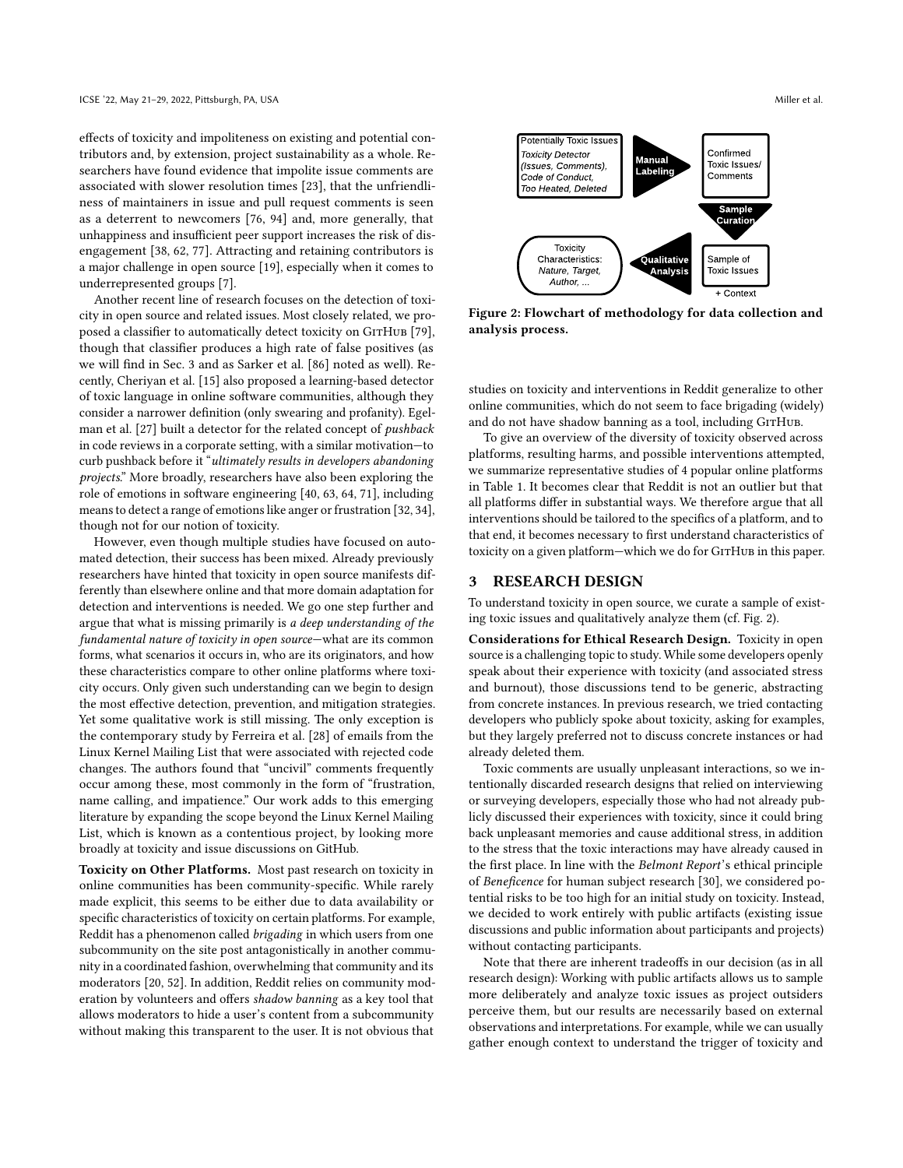effects of toxicity and impoliteness on existing and potential contributors and, by extension, project sustainability as a whole. Researchers have found evidence that impolite issue comments are associated with slower resolution times [\[23\]](#page-11-36), that the unfriendliness of maintainers in issue and pull request comments is seen as a deterrent to newcomers [\[76,](#page-12-4) [94\]](#page-12-33) and, more generally, that unhappiness and insufficient peer support increases the risk of disengagement [\[38,](#page-11-37) [62,](#page-11-38) [77\]](#page-12-37). Attracting and retaining contributors is a major challenge in open source [\[19\]](#page-11-39), especially when it comes to underrepresented groups [\[7\]](#page-10-8).

Another recent line of research focuses on the detection of toxicity in open source and related issues. Most closely related, we pro-posed a classifier to automatically detect toxicity on GITHUB [\[79\]](#page-12-2), though that classifier produces a high rate of false positives (as we will find in Sec. [3](#page-3-0) and as Sarker et al. [\[86\]](#page-12-3) noted as well). Recently, Cheriyan et al. [\[15\]](#page-11-34) also proposed a learning-based detector of toxic language in online software communities, although they consider a narrower definition (only swearing and profanity). Egelman et al. [\[27\]](#page-11-40) built a detector for the related concept of pushback in code reviews in a corporate setting, with a similar motivation—to curb pushback before it "ultimately results in developers abandoning projects." More broadly, researchers have also been exploring the role of emotions in software engineering [\[40,](#page-11-41) [63,](#page-11-42) [64,](#page-11-43) [71\]](#page-12-38), including means to detect a range of emotions like anger or frustration [\[32,](#page-11-44) [34\]](#page-11-45), though not for our notion of toxicity.

However, even though multiple studies have focused on automated detection, their success has been mixed. Already previously researchers have hinted that toxicity in open source manifests differently than elsewhere online and that more domain adaptation for detection and interventions is needed. We go one step further and argue that what is missing primarily is a deep understanding of the fundamental nature of toxicity in open source—what are its common forms, what scenarios it occurs in, who are its originators, and how these characteristics compare to other online platforms where toxicity occurs. Only given such understanding can we begin to design the most effective detection, prevention, and mitigation strategies. Yet some qualitative work is still missing. The only exception is the contemporary study by Ferreira et al. [\[28\]](#page-11-35) of emails from the Linux Kernel Mailing List that were associated with rejected code changes. The authors found that "uncivil" comments frequently occur among these, most commonly in the form of "frustration, name calling, and impatience." Our work adds to this emerging literature by expanding the scope beyond the Linux Kernel Mailing List, which is known as a contentious project, by looking more broadly at toxicity and issue discussions on GitHub.

Toxicity on Other Platforms. Most past research on toxicity in online communities has been community-specific. While rarely made explicit, this seems to be either due to data availability or specific characteristics of toxicity on certain platforms. For example, Reddit has a phenomenon called brigading in which users from one subcommunity on the site post antagonistically in another community in a coordinated fashion, overwhelming that community and its moderators [\[20,](#page-11-20) [52\]](#page-11-21). In addition, Reddit relies on community moderation by volunteers and offers shadow banning as a key tool that allows moderators to hide a user's content from a subcommunity without making this transparent to the user. It is not obvious that

<span id="page-3-0"></span>

Figure 2: Flowchart of methodology for data collection and analysis process.

studies on toxicity and interventions in Reddit generalize to other online communities, which do not seem to face brigading (widely) and do not have shadow banning as a tool, including GITHUB.

To give an overview of the diversity of toxicity observed across platforms, resulting harms, and possible interventions attempted, we summarize representative studies of 4 popular online platforms in Table [1.](#page-2-2) It becomes clear that Reddit is not an outlier but that all platforms differ in substantial ways. We therefore argue that all interventions should be tailored to the specifics of a platform, and to that end, it becomes necessary to first understand characteristics of toxicity on a given platform-which we do for GITHUB in this paper.

#### 3 RESEARCH DESIGN

To understand toxicity in open source, we curate a sample of existing toxic issues and qualitatively analyze them (cf. Fig. [2\)](#page-3-0).

Considerations for Ethical Research Design. Toxicity in open source is a challenging topic to study. While some developers openly speak about their experience with toxicity (and associated stress and burnout), those discussions tend to be generic, abstracting from concrete instances. In previous research, we tried contacting developers who publicly spoke about toxicity, asking for examples, but they largely preferred not to discuss concrete instances or had already deleted them.

Toxic comments are usually unpleasant interactions, so we intentionally discarded research designs that relied on interviewing or surveying developers, especially those who had not already publicly discussed their experiences with toxicity, since it could bring back unpleasant memories and cause additional stress, in addition to the stress that the toxic interactions may have already caused in the first place. In line with the Belmont Report's ethical principle of Beneficence for human subject research [\[30\]](#page-11-46), we considered potential risks to be too high for an initial study on toxicity. Instead, we decided to work entirely with public artifacts (existing issue discussions and public information about participants and projects) without contacting participants.

Note that there are inherent tradeoffs in our decision (as in all research design): Working with public artifacts allows us to sample more deliberately and analyze toxic issues as project outsiders perceive them, but our results are necessarily based on external observations and interpretations. For example, while we can usually gather enough context to understand the trigger of toxicity and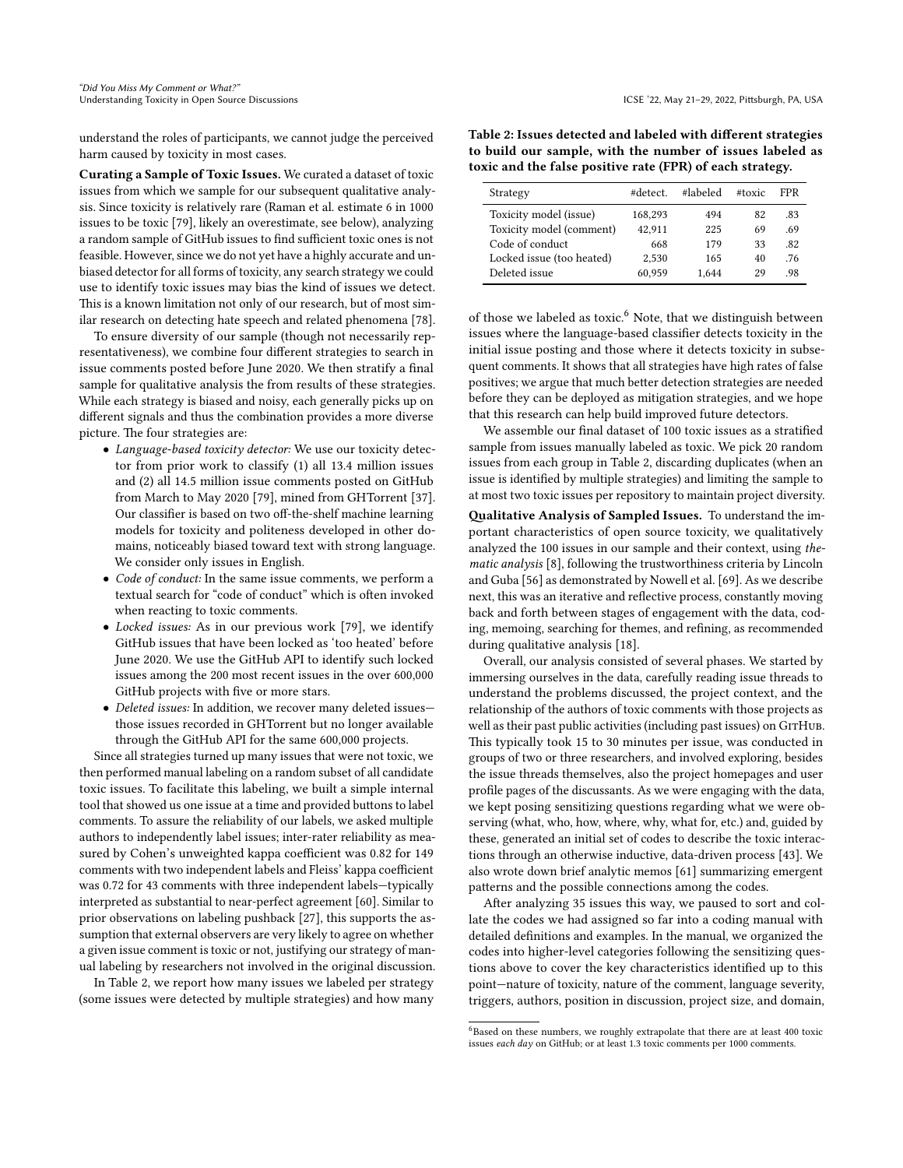understand the roles of participants, we cannot judge the perceived harm caused by toxicity in most cases.

Curating a Sample of Toxic Issues. We curated a dataset of toxic issues from which we sample for our subsequent qualitative analysis. Since toxicity is relatively rare (Raman et al. estimate 6 in 1000 issues to be toxic [\[79\]](#page-12-2), likely an overestimate, see below), analyzing a random sample of GitHub issues to find sufficient toxic ones is not feasible. However, since we do not yet have a highly accurate and unbiased detector for all forms of toxicity, any search strategy we could use to identify toxic issues may bias the kind of issues we detect. This is a known limitation not only of our research, but of most similar research on detecting hate speech and related phenomena [\[78\]](#page-12-39).

To ensure diversity of our sample (though not necessarily representativeness), we combine four different strategies to search in issue comments posted before June 2020. We then stratify a final sample for qualitative analysis the from results of these strategies. While each strategy is biased and noisy, each generally picks up on different signals and thus the combination provides a more diverse picture. The four strategies are:

- Language-based toxicity detector: We use our toxicity detector from prior work to classify (1) all 13.4 million issues and (2) all 14.5 million issue comments posted on GitHub from March to May 2020 [\[79\]](#page-12-2), mined from GHTorrent [\[37\]](#page-11-47). Our classifier is based on two off-the-shelf machine learning models for toxicity and politeness developed in other domains, noticeably biased toward text with strong language. We consider only issues in English.
- Code of conduct: In the same issue comments, we perform a textual search for "code of conduct" which is often invoked when reacting to toxic comments.
- Locked issues: As in our previous work [\[79\]](#page-12-2), we identify GitHub issues that have been locked as 'too heated' before June 2020. We use the GitHub API to identify such locked issues among the 200 most recent issues in the over 600,000 GitHub projects with five or more stars.
- Deleted issues: In addition, we recover many deleted issues those issues recorded in GHTorrent but no longer available through the GitHub API for the same 600,000 projects.

Since all strategies turned up many issues that were not toxic, we then performed manual labeling on a random subset of all candidate toxic issues. To facilitate this labeling, we built a simple internal tool that showed us one issue at a time and provided buttons to label comments. To assure the reliability of our labels, we asked multiple authors to independently label issues; inter-rater reliability as measured by Cohen's unweighted kappa coefficient was 0.82 for 149 comments with two independent labels and Fleiss' kappa coefficient was 0.72 for 43 comments with three independent labels—typically interpreted as substantial to near-perfect agreement [\[60\]](#page-11-48). Similar to prior observations on labeling pushback [\[27\]](#page-11-40), this supports the assumption that external observers are very likely to agree on whether a given issue comment is toxic or not, justifying our strategy of manual labeling by researchers not involved in the original discussion.

In Table [2,](#page-4-0) we report how many issues we labeled per strategy (some issues were detected by multiple strategies) and how many

<span id="page-4-0"></span>Table 2: Issues detected and labeled with different strategies to build our sample, with the number of issues labeled as toxic and the false positive rate (FPR) of each strategy.

| Strategy                  | #detect | #labeled | #toxic | FPR |
|---------------------------|---------|----------|--------|-----|
| Toxicity model (issue)    | 168,293 | 494      | 82     | -83 |
| Toxicity model (comment)  | 42.911  | 225      | 69     | .69 |
| Code of conduct           | 668     | 179      | 33     | .82 |
| Locked issue (too heated) | 2.530   | 165      | 40     | .76 |
| Deleted issue             | 60.959  | 1.644    | 29     | 98  |

of those we labeled as toxic.<sup>[6](#page-4-1)</sup> Note, that we distinguish between issues where the language-based classifier detects toxicity in the initial issue posting and those where it detects toxicity in subsequent comments. It shows that all strategies have high rates of false positives; we argue that much better detection strategies are needed before they can be deployed as mitigation strategies, and we hope that this research can help build improved future detectors.

We assemble our final dataset of 100 toxic issues as a stratified sample from issues manually labeled as toxic. We pick 20 random issues from each group in Table [2,](#page-4-0) discarding duplicates (when an issue is identified by multiple strategies) and limiting the sample to at most two toxic issues per repository to maintain project diversity.

Qualitative Analysis of Sampled Issues. To understand the important characteristics of open source toxicity, we qualitatively analyzed the 100 issues in our sample and their context, using thematic analysis [\[8\]](#page-10-9), following the trustworthiness criteria by Lincoln and Guba [\[56\]](#page-11-49) as demonstrated by Nowell et al. [\[69\]](#page-12-40). As we describe next, this was an iterative and reflective process, constantly moving back and forth between stages of engagement with the data, coding, memoing, searching for themes, and refining, as recommended during qualitative analysis [\[18\]](#page-11-50).

Overall, our analysis consisted of several phases. We started by immersing ourselves in the data, carefully reading issue threads to understand the problems discussed, the project context, and the relationship of the authors of toxic comments with those projects as well as their past public activities (including past issues) on GITHUB. This typically took 15 to 30 minutes per issue, was conducted in groups of two or three researchers, and involved exploring, besides the issue threads themselves, also the project homepages and user profile pages of the discussants. As we were engaging with the data, we kept posing sensitizing questions regarding what we were observing (what, who, how, where, why, what for, etc.) and, guided by these, generated an initial set of codes to describe the toxic interactions through an otherwise inductive, data-driven process [\[43\]](#page-11-51). We also wrote down brief analytic memos [\[61\]](#page-11-52) summarizing emergent patterns and the possible connections among the codes.

After analyzing 35 issues this way, we paused to sort and collate the codes we had assigned so far into a coding manual with detailed definitions and examples. In the manual, we organized the codes into higher-level categories following the sensitizing questions above to cover the key characteristics identified up to this point—nature of toxicity, nature of the comment, language severity, triggers, authors, position in discussion, project size, and domain,

<span id="page-4-1"></span> $6B$ ased on these numbers, we roughly extrapolate that there are at least 400 toxic issues each day on GitHub; or at least 1.3 toxic comments per 1000 comments.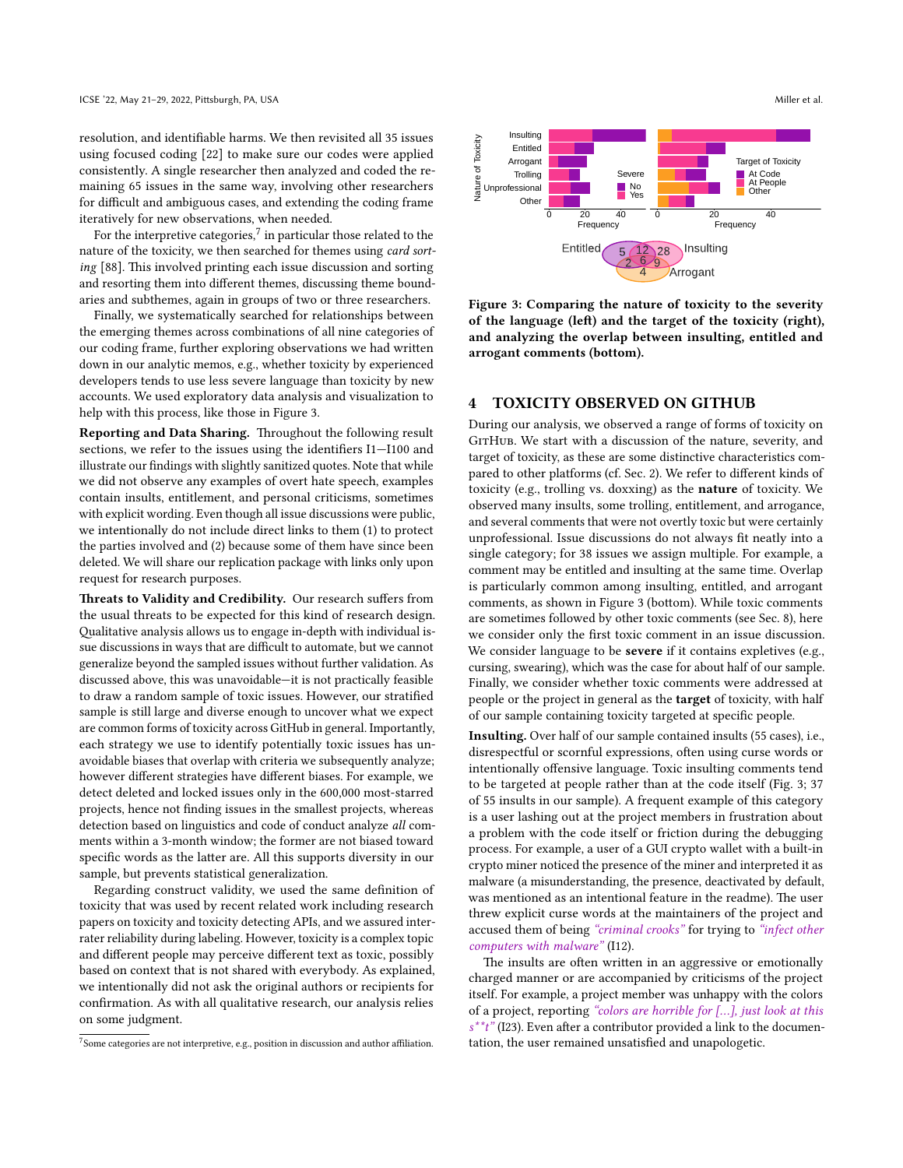resolution, and identifiable harms. We then revisited all 35 issues using focused coding [\[22\]](#page-11-53) to make sure our codes were applied consistently. A single researcher then analyzed and coded the remaining 65 issues in the same way, involving other researchers for difficult and ambiguous cases, and extending the coding frame iteratively for new observations, when needed.

For the interpretive categories, $^7$  $^7$  in particular those related to the nature of the toxicity, we then searched for themes using card sorting [\[88\]](#page-12-41). This involved printing each issue discussion and sorting and resorting them into different themes, discussing theme boundaries and subthemes, again in groups of two or three researchers.

Finally, we systematically searched for relationships between the emerging themes across combinations of all nine categories of our coding frame, further exploring observations we had written down in our analytic memos, e.g., whether toxicity by experienced developers tends to use less severe language than toxicity by new accounts. We used exploratory data analysis and visualization to help with this process, like those in Figure [3.](#page-5-1)

Reporting and Data Sharing. Throughout the following result sections, we refer to the issues using the identifiers I1—I100 and illustrate our findings with slightly sanitized quotes. Note that while we did not observe any examples of overt hate speech, examples contain insults, entitlement, and personal criticisms, sometimes with explicit wording. Even though all issue discussions were public, we intentionally do not include direct links to them (1) to protect the parties involved and (2) because some of them have since been deleted. We will share our replication package with links only upon request for research purposes.

Threats to Validity and Credibility. Our research suffers from the usual threats to be expected for this kind of research design. Qualitative analysis allows us to engage in-depth with individual issue discussions in ways that are difficult to automate, but we cannot generalize beyond the sampled issues without further validation. As discussed above, this was unavoidable—it is not practically feasible to draw a random sample of toxic issues. However, our stratified sample is still large and diverse enough to uncover what we expect are common forms of toxicity across GitHub in general. Importantly, each strategy we use to identify potentially toxic issues has unavoidable biases that overlap with criteria we subsequently analyze; however different strategies have different biases. For example, we detect deleted and locked issues only in the 600,000 most-starred projects, hence not finding issues in the smallest projects, whereas detection based on linguistics and code of conduct analyze all comments within a 3-month window; the former are not biased toward specific words as the latter are. All this supports diversity in our sample, but prevents statistical generalization.

Regarding construct validity, we used the same definition of toxicity that was used by recent related work including research papers on toxicity and toxicity detecting APIs, and we assured interrater reliability during labeling. However, toxicity is a complex topic and different people may perceive different text as toxic, possibly based on context that is not shared with everybody. As explained, we intentionally did not ask the original authors or recipients for confirmation. As with all qualitative research, our analysis relies on some judgment.

<span id="page-5-1"></span>

Figure 3: Comparing the nature of toxicity to the severity of the language (left) and the target of the toxicity (right), and analyzing the overlap between insulting, entitled and arrogant comments (bottom).

#### 4 TOXICITY OBSERVED ON GITHUB

During our analysis, we observed a range of forms of toxicity on GITHUB. We start with a discussion of the nature, severity, and target of toxicity, as these are some distinctive characteristics compared to other platforms (cf. Sec. [2\)](#page-2-2). We refer to different kinds of toxicity (e.g., trolling vs. doxxing) as the nature of toxicity. We observed many insults, some trolling, entitlement, and arrogance, and several comments that were not overtly toxic but were certainly unprofessional. Issue discussions do not always fit neatly into a single category; for 38 issues we assign multiple. For example, a comment may be entitled and insulting at the same time. Overlap is particularly common among insulting, entitled, and arrogant comments, as shown in Figure [3](#page-5-1) (bottom). While toxic comments are sometimes followed by other toxic comments (see Sec. [8\)](#page-8-0), here we consider only the first toxic comment in an issue discussion. We consider language to be severe if it contains expletives (e.g., cursing, swearing), which was the case for about half of our sample. Finally, we consider whether toxic comments were addressed at people or the project in general as the target of toxicity, with half of our sample containing toxicity targeted at specific people.

Insulting. Over half of our sample contained insults (55 cases), i.e., disrespectful or scornful expressions, often using curse words or intentionally offensive language. Toxic insulting comments tend to be targeted at people rather than at the code itself (Fig. [3;](#page-5-1) 37 of 55 insults in our sample). A frequent example of this category is a user lashing out at the project members in frustration about a problem with the code itself or friction during the debugging process. For example, a user of a GUI crypto wallet with a built-in crypto miner noticed the presence of the miner and interpreted it as malware (a misunderstanding, the presence, deactivated by default, was mentioned as an intentional feature in the readme). The user threw explicit curse words at the maintainers of the project and accused them of being "criminal crooks" for trying to "infect other computers with malware" (I12).

The insults are often written in an aggressive or emotionally charged manner or are accompanied by criticisms of the project itself. For example, a project member was unhappy with the colors of a project, reporting "colors are horrible for […], just look at this  $s^*t^*$  (I23). Even after a contributor provided a link to the documentation, the user remained unsatisfied and unapologetic.

<span id="page-5-0"></span> $7$ Some categories are not interpretive, e.g., position in discussion and author affiliation.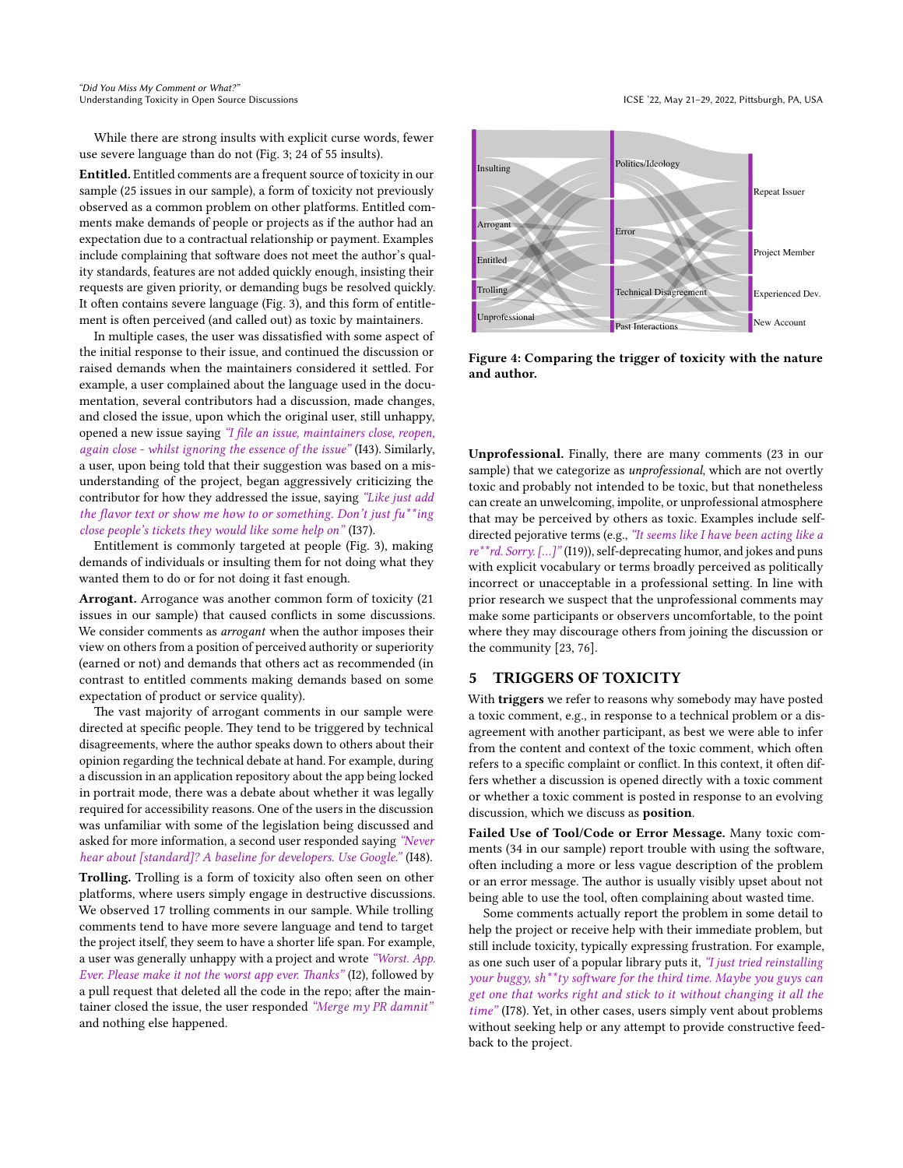While there are strong insults with explicit curse words, fewer use severe language than do not (Fig. [3;](#page-5-1) 24 of 55 insults).

Entitled. Entitled comments are a frequent source of toxicity in our sample (25 issues in our sample), a form of toxicity not previously observed as a common problem on other platforms. Entitled comments make demands of people or projects as if the author had an expectation due to a contractual relationship or payment. Examples include complaining that software does not meet the author's quality standards, features are not added quickly enough, insisting their requests are given priority, or demanding bugs be resolved quickly. It often contains severe language (Fig. [3\)](#page-5-1), and this form of entitlement is often perceived (and called out) as toxic by maintainers.

In multiple cases, the user was dissatisfied with some aspect of the initial response to their issue, and continued the discussion or raised demands when the maintainers considered it settled. For example, a user complained about the language used in the documentation, several contributors had a discussion, made changes, and closed the issue, upon which the original user, still unhappy, opened a new issue saying "I file an issue, maintainers close, reopen, again close - whilst ignoring the essence of the issue" (I43). Similarly, a user, upon being told that their suggestion was based on a misunderstanding of the project, began aggressively criticizing the contributor for how they addressed the issue, saying "Like just add the flavor text or show me how to or something. Don't just  $fu^{**}$ ing close people's tickets they would like some help on" (I37).

Entitlement is commonly targeted at people (Fig. [3\)](#page-5-1), making demands of individuals or insulting them for not doing what they wanted them to do or for not doing it fast enough.

Arrogant. Arrogance was another common form of toxicity (21 issues in our sample) that caused conflicts in some discussions. We consider comments as *arrogant* when the author imposes their view on others from a position of perceived authority or superiority (earned or not) and demands that others act as recommended (in contrast to entitled comments making demands based on some expectation of product or service quality).

The vast majority of arrogant comments in our sample were directed at specific people. They tend to be triggered by technical disagreements, where the author speaks down to others about their opinion regarding the technical debate at hand. For example, during a discussion in an application repository about the app being locked in portrait mode, there was a debate about whether it was legally required for accessibility reasons. One of the users in the discussion was unfamiliar with some of the legislation being discussed and asked for more information, a second user responded saying "Never hear about [standard]? A baseline for developers. Use Google." (I48).

Trolling. Trolling is a form of toxicity also often seen on other platforms, where users simply engage in destructive discussions. We observed 17 trolling comments in our sample. While trolling comments tend to have more severe language and tend to target the project itself, they seem to have a shorter life span. For example, a user was generally unhappy with a project and wrote "Worst. App. Ever. Please make it not the worst app ever. Thanks" (I2), followed by a pull request that deleted all the code in the repo; after the maintainer closed the issue, the user responded "Merge my PR damnit" and nothing else happened.

<span id="page-6-0"></span>

Figure 4: Comparing the trigger of toxicity with the nature and author.

Unprofessional. Finally, there are many comments (23 in our sample) that we categorize as *unprofessional*, which are not overtly toxic and probably not intended to be toxic, but that nonetheless can create an unwelcoming, impolite, or unprofessional atmosphere that may be perceived by others as toxic. Examples include selfdirected pejorative terms (e.g., "It seems like I have been acting like a re\*\*rd. Sorry. [...]" (I19)), self-deprecating humor, and jokes and puns with explicit vocabulary or terms broadly perceived as politically incorrect or unacceptable in a professional setting. In line with prior research we suspect that the unprofessional comments may make some participants or observers uncomfortable, to the point where they may discourage others from joining the discussion or the community [\[23,](#page-11-36) [76\]](#page-12-4).

#### 5 TRIGGERS OF TOXICITY

With triggers we refer to reasons why somebody may have posted a toxic comment, e.g., in response to a technical problem or a disagreement with another participant, as best we were able to infer from the content and context of the toxic comment, which often refers to a specific complaint or conflict. In this context, it often differs whether a discussion is opened directly with a toxic comment or whether a toxic comment is posted in response to an evolving discussion, which we discuss as position.

Failed Use of Tool/Code or Error Message. Many toxic comments (34 in our sample) report trouble with using the software, often including a more or less vague description of the problem or an error message. The author is usually visibly upset about not being able to use the tool, often complaining about wasted time.

Some comments actually report the problem in some detail to help the project or receive help with their immediate problem, but still include toxicity, typically expressing frustration. For example, as one such user of a popular library puts it, "I just tried reinstalling your buggy, sh\*\*ty software for the third time. Maybe you guys can get one that works right and stick to it without changing it all the time" (I78). Yet, in other cases, users simply vent about problems without seeking help or any attempt to provide constructive feedback to the project.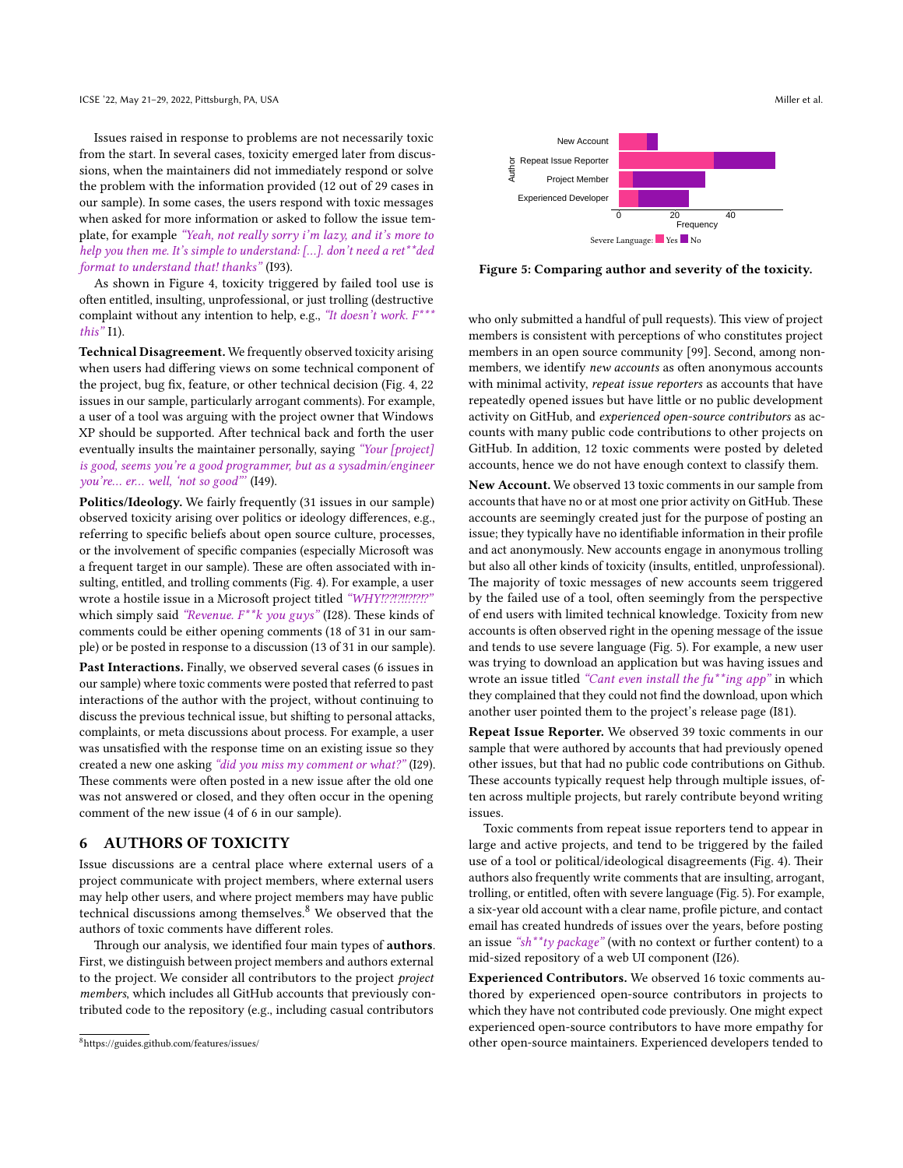Issues raised in response to problems are not necessarily toxic from the start. In several cases, toxicity emerged later from discussions, when the maintainers did not immediately respond or solve the problem with the information provided (12 out of 29 cases in our sample). In some cases, the users respond with toxic messages when asked for more information or asked to follow the issue template, for example "Yeah, not really sorry i'm lazy, and it's more to help you then me. It's simple to understand: […]. don't need a ret\*\*ded format to understand that! thanks" (I93).

As shown in Figure [4,](#page-6-0) toxicity triggered by failed tool use is often entitled, insulting, unprofessional, or just trolling (destructive complaint without any intention to help, e.g., "It doesn't work.  $F^{***}$ this" I1).

Technical Disagreement. We frequently observed toxicity arising when users had differing views on some technical component of the project, bug fix, feature, or other technical decision (Fig. [4,](#page-6-0) 22 issues in our sample, particularly arrogant comments). For example, a user of a tool was arguing with the project owner that Windows XP should be supported. After technical back and forth the user eventually insults the maintainer personally, saying "Your [project] is good, seems you're a good programmer, but as a sysadmin/engineer you're… er… well, 'not so good"' (I49).

Politics/Ideology. We fairly frequently (31 issues in our sample) observed toxicity arising over politics or ideology differences, e.g., referring to specific beliefs about open source culture, processes, or the involvement of specific companies (especially Microsoft was a frequent target in our sample). These are often associated with insulting, entitled, and trolling comments (Fig. [4\)](#page-6-0). For example, a user wrote a hostile issue in a Microsoft project titled "WHY!??!?!!?!?!? which simply said "Revenue.  $F^{\ast}$ k you guys" (I28). These kinds of comments could be either opening comments (18 of 31 in our sample) or be posted in response to a discussion (13 of 31 in our sample).

Past Interactions. Finally, we observed several cases (6 issues in our sample) where toxic comments were posted that referred to past interactions of the author with the project, without continuing to discuss the previous technical issue, but shifting to personal attacks, complaints, or meta discussions about process. For example, a user was unsatisfied with the response time on an existing issue so they created a new one asking "did you miss my comment or what?" (I29). These comments were often posted in a new issue after the old one was not answered or closed, and they often occur in the opening comment of the new issue (4 of 6 in our sample).

## 6 AUTHORS OF TOXICITY

Issue discussions are a central place where external users of a project communicate with project members, where external users may help other users, and where project members may have public technical discussions among themselves. $8$  We observed that the authors of toxic comments have different roles.

Through our analysis, we identified four main types of **authors**. First, we distinguish between project members and authors external to the project. We consider all contributors to the project project members, which includes all GitHub accounts that previously contributed code to the repository (e.g., including casual contributors

<span id="page-7-1"></span>

Figure 5: Comparing author and severity of the toxicity.

who only submitted a handful of pull requests). This view of project members is consistent with perceptions of who constitutes project members in an open source community [\[99\]](#page-12-42). Second, among nonmembers, we identify new accounts as often anonymous accounts with minimal activity, repeat issue reporters as accounts that have repeatedly opened issues but have little or no public development activity on GitHub, and experienced open-source contributors as accounts with many public code contributions to other projects on GitHub. In addition, 12 toxic comments were posted by deleted accounts, hence we do not have enough context to classify them.

New Account. We observed 13 toxic comments in our sample from accounts that have no or at most one prior activity on GitHub. These accounts are seemingly created just for the purpose of posting an issue; they typically have no identifiable information in their profile and act anonymously. New accounts engage in anonymous trolling but also all other kinds of toxicity (insults, entitled, unprofessional). The majority of toxic messages of new accounts seem triggered by the failed use of a tool, often seemingly from the perspective of end users with limited technical knowledge. Toxicity from new accounts is often observed right in the opening message of the issue and tends to use severe language (Fig. [5\)](#page-7-1). For example, a new user was trying to download an application but was having issues and wrote an issue titled "Cant even install the  $fu^{**}$ ing app" in which they complained that they could not find the download, upon which another user pointed them to the project's release page (I81).

Repeat Issue Reporter. We observed 39 toxic comments in our sample that were authored by accounts that had previously opened other issues, but that had no public code contributions on Github. These accounts typically request help through multiple issues, often across multiple projects, but rarely contribute beyond writing issues.

Toxic comments from repeat issue reporters tend to appear in large and active projects, and tend to be triggered by the failed use of a tool or political/ideological disagreements (Fig. [4\)](#page-6-0). Their authors also frequently write comments that are insulting, arrogant, trolling, or entitled, often with severe language (Fig. [5\)](#page-7-1). For example, a six-year old account with a clear name, profile picture, and contact email has created hundreds of issues over the years, before posting an issue "sh\*\*ty package" (with no context or further content) to a mid-sized repository of a web UI component (I26).

Experienced Contributors. We observed 16 toxic comments authored by experienced open-source contributors in projects to which they have not contributed code previously. One might expect experienced open-source contributors to have more empathy for other open-source maintainers. Experienced developers tended to

<span id="page-7-0"></span><sup>8</sup><https://guides.github.com/features/issues/>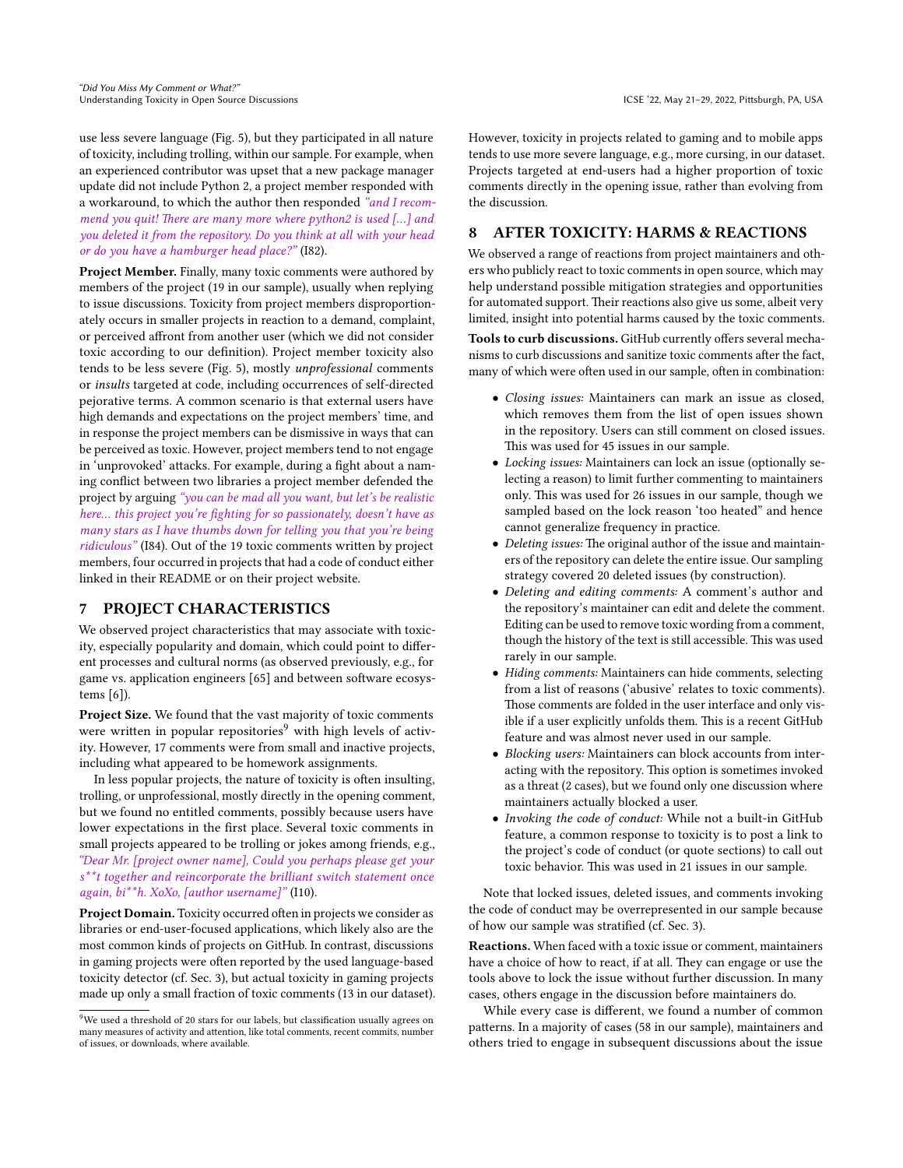use less severe language (Fig. [5\)](#page-7-1), but they participated in all nature of toxicity, including trolling, within our sample. For example, when an experienced contributor was upset that a new package manager update did not include Python 2, a project member responded with a workaround, to which the author then responded "and I recommend you quit! There are many more where python2 is used […] and you deleted it from the repository. Do you think at all with your head or do you have a hamburger head place?" (I82).

Project Member. Finally, many toxic comments were authored by members of the project (19 in our sample), usually when replying to issue discussions. Toxicity from project members disproportionately occurs in smaller projects in reaction to a demand, complaint, or perceived affront from another user (which we did not consider toxic according to our definition). Project member toxicity also tends to be less severe (Fig. [5\)](#page-7-1), mostly unprofessional comments or insults targeted at code, including occurrences of self-directed pejorative terms. A common scenario is that external users have high demands and expectations on the project members' time, and in response the project members can be dismissive in ways that can be perceived as toxic. However, project members tend to not engage in 'unprovoked' attacks. For example, during a fight about a naming conflict between two libraries a project member defended the project by arguing "you can be mad all you want, but let's be realistic here... this project you're fighting for so passionately, doesn't have as many stars as I have thumbs down for telling you that you're being ridiculous" (I84). Out of the 19 toxic comments written by project members, four occurred in projects that had a code of conduct either linked in their README or on their project website.

# 7 PROJECT CHARACTERISTICS

We observed project characteristics that may associate with toxicity, especially popularity and domain, which could point to different processes and cultural norms (as observed previously, e.g., for game vs. application engineers [\[65\]](#page-11-54) and between software ecosystems [\[6\]](#page-10-10)).

Project Size. We found that the vast majority of toxic comments were written in popular repositories<sup>[9](#page-8-1)</sup> with high levels of activity. However, 17 comments were from small and inactive projects, including what appeared to be homework assignments.

In less popular projects, the nature of toxicity is often insulting, trolling, or unprofessional, mostly directly in the opening comment, but we found no entitled comments, possibly because users have lower expectations in the first place. Several toxic comments in small projects appeared to be trolling or jokes among friends, e.g., "Dear Mr. [project owner name], Could you perhaps please get your s<sup>\*\*</sup>t together and reincorporate the brilliant switch statement once again, bi\*\*h. XoXo, [author username]" (I10).

Project Domain. Toxicity occurred often in projects we consider as libraries or end-user-focused applications, which likely also are the most common kinds of projects on GitHub. In contrast, discussions in gaming projects were often reported by the used language-based toxicity detector (cf. Sec. [3\)](#page-3-0), but actual toxicity in gaming projects made up only a small fraction of toxic comments (13 in our dataset). However, toxicity in projects related to gaming and to mobile apps tends to use more severe language, e.g., more cursing, in our dataset. Projects targeted at end-users had a higher proportion of toxic comments directly in the opening issue, rather than evolving from the discussion.

### <span id="page-8-0"></span>8 AFTER TOXICITY: HARMS & REACTIONS

We observed a range of reactions from project maintainers and others who publicly react to toxic comments in open source, which may help understand possible mitigation strategies and opportunities for automated support. Their reactions also give us some, albeit very limited, insight into potential harms caused by the toxic comments.

Tools to curb discussions. GitHub currently offers several mechanisms to curb discussions and sanitize toxic comments after the fact, many of which were often used in our sample, often in combination:

- Closing issues: Maintainers can mark an issue as closed, which removes them from the list of open issues shown in the repository. Users can still comment on closed issues. This was used for 45 issues in our sample.
- Locking issues: Maintainers can lock an issue (optionally selecting a reason) to limit further commenting to maintainers only. This was used for 26 issues in our sample, though we sampled based on the lock reason 'too heated" and hence cannot generalize frequency in practice.
- Deleting issues: The original author of the issue and maintainers of the repository can delete the entire issue. Our sampling strategy covered 20 deleted issues (by construction).
- Deleting and editing comments: A comment's author and the repository's maintainer can edit and delete the comment. Editing can be used to remove toxic wording from a comment, though the history of the text is still accessible. This was used rarely in our sample.
- Hiding comments: Maintainers can hide comments, selecting from a list of reasons ('abusive' relates to toxic comments). Those comments are folded in the user interface and only visible if a user explicitly unfolds them. This is a recent GitHub feature and was almost never used in our sample.
- Blocking users: Maintainers can block accounts from interacting with the repository. This option is sometimes invoked as a threat (2 cases), but we found only one discussion where maintainers actually blocked a user.
- Invoking the code of conduct: While not a built-in GitHub feature, a common response to toxicity is to post a link to the project's code of conduct (or quote sections) to call out toxic behavior. This was used in 21 issues in our sample.

Note that locked issues, deleted issues, and comments invoking the code of conduct may be overrepresented in our sample because of how our sample was stratified (cf. Sec. [3\)](#page-4-0).

Reactions. When faced with a toxic issue or comment, maintainers have a choice of how to react, if at all. They can engage or use the tools above to lock the issue without further discussion. In many cases, others engage in the discussion before maintainers do.

While every case is different, we found a number of common patterns. In a majority of cases (58 in our sample), maintainers and others tried to engage in subsequent discussions about the issue

<span id="page-8-1"></span> $^{9}$  We used a threshold of 20 stars for our labels, but classification usually agrees on many measures of activity and attention, like total comments, recent commits, number of issues, or downloads, where available.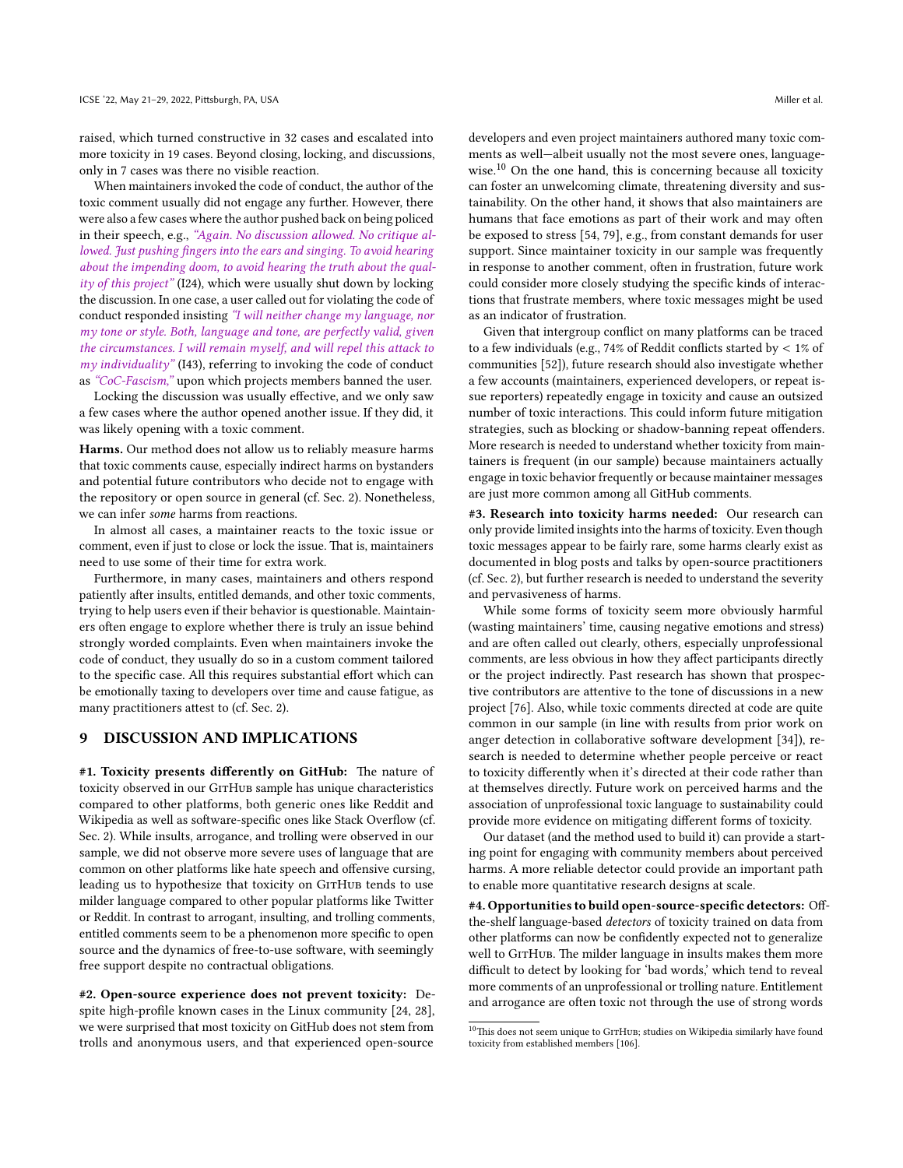raised, which turned constructive in 32 cases and escalated into more toxicity in 19 cases. Beyond closing, locking, and discussions, only in 7 cases was there no visible reaction.

When maintainers invoked the code of conduct, the author of the toxic comment usually did not engage any further. However, there were also a few cases where the author pushed back on being policed in their speech, e.g., "Again. No discussion allowed. No critique allowed. Just pushing fingers into the ears and singing. To avoid hearing about the impending doom, to avoid hearing the truth about the quality of this project" (I24), which were usually shut down by locking the discussion. In one case, a user called out for violating the code of conduct responded insisting "I will neither change my language, nor my tone or style. Both, language and tone, are perfectly valid, given the circumstances. I will remain myself, and will repel this attack to my individuality" (I43), referring to invoking the code of conduct as "CoC-Fascism," upon which projects members banned the user.

Locking the discussion was usually effective, and we only saw a few cases where the author opened another issue. If they did, it was likely opening with a toxic comment.

Harms. Our method does not allow us to reliably measure harms that toxic comments cause, especially indirect harms on bystanders and potential future contributors who decide not to engage with the repository or open source in general (cf. Sec. [2\)](#page-2-2). Nonetheless, we can infer some harms from reactions.

In almost all cases, a maintainer reacts to the toxic issue or comment, even if just to close or lock the issue. That is, maintainers need to use some of their time for extra work.

Furthermore, in many cases, maintainers and others respond patiently after insults, entitled demands, and other toxic comments, trying to help users even if their behavior is questionable. Maintainers often engage to explore whether there is truly an issue behind strongly worded complaints. Even when maintainers invoke the code of conduct, they usually do so in a custom comment tailored to the specific case. All this requires substantial effort which can be emotionally taxing to developers over time and cause fatigue, as many practitioners attest to (cf. Sec. [2\)](#page-2-2).

#### 9 DISCUSSION AND IMPLICATIONS

#1. Toxicity presents differently on GitHub: The nature of toxicity observed in our GITHUB sample has unique characteristics compared to other platforms, both generic ones like Reddit and Wikipedia as well as software-specific ones like Stack Overflow (cf. Sec. [2\)](#page-2-2). While insults, arrogance, and trolling were observed in our sample, we did not observe more severe uses of language that are common on other platforms like hate speech and offensive cursing, leading us to hypothesize that toxicity on GITHUB tends to use milder language compared to other popular platforms like Twitter or Reddit. In contrast to arrogant, insulting, and trolling comments, entitled comments seem to be a phenomenon more specific to open source and the dynamics of free-to-use software, with seemingly free support despite no contractual obligations.

#2. Open-source experience does not prevent toxicity: Despite high-profile known cases in the Linux community [\[24,](#page-11-0) [28\]](#page-11-35), we were surprised that most toxicity on GitHub does not stem from trolls and anonymous users, and that experienced open-source

developers and even project maintainers authored many toxic comments as well—albeit usually not the most severe ones, language-wise.<sup>[10](#page-9-0)</sup> On the one hand, this is concerning because all toxicity can foster an unwelcoming climate, threatening diversity and sustainability. On the other hand, it shows that also maintainers are humans that face emotions as part of their work and may often be exposed to stress [\[54,](#page-11-2) [79\]](#page-12-2), e.g., from constant demands for user support. Since maintainer toxicity in our sample was frequently in response to another comment, often in frustration, future work could consider more closely studying the specific kinds of interactions that frustrate members, where toxic messages might be used as an indicator of frustration.

Given that intergroup conflict on many platforms can be traced to a few individuals (e.g., 74% of Reddit conflicts started by < 1% of communities [\[52\]](#page-11-21)), future research should also investigate whether a few accounts (maintainers, experienced developers, or repeat issue reporters) repeatedly engage in toxicity and cause an outsized number of toxic interactions. This could inform future mitigation strategies, such as blocking or shadow-banning repeat offenders. More research is needed to understand whether toxicity from maintainers is frequent (in our sample) because maintainers actually engage in toxic behavior frequently or because maintainer messages are just more common among all GitHub comments.

#3. Research into toxicity harms needed: Our research can only provide limited insights into the harms of toxicity. Even though toxic messages appear to be fairly rare, some harms clearly exist as documented in blog posts and talks by open-source practitioners (cf. Sec. [2\)](#page-2-2), but further research is needed to understand the severity and pervasiveness of harms.

While some forms of toxicity seem more obviously harmful (wasting maintainers' time, causing negative emotions and stress) and are often called out clearly, others, especially unprofessional comments, are less obvious in how they affect participants directly or the project indirectly. Past research has shown that prospective contributors are attentive to the tone of discussions in a new project [\[76\]](#page-12-4). Also, while toxic comments directed at code are quite common in our sample (in line with results from prior work on anger detection in collaborative software development [\[34\]](#page-11-45)), research is needed to determine whether people perceive or react to toxicity differently when it's directed at their code rather than at themselves directly. Future work on perceived harms and the association of unprofessional toxic language to sustainability could provide more evidence on mitigating different forms of toxicity.

Our dataset (and the method used to build it) can provide a starting point for engaging with community members about perceived harms. A more reliable detector could provide an important path to enable more quantitative research designs at scale.

#4. Opportunities to build open-source-specific detectors: Offthe-shelf language-based detectors of toxicity trained on data from other platforms can now be confidently expected not to generalize well to GITHUB. The milder language in insults makes them more difficult to detect by looking for 'bad words,' which tend to reveal more comments of an unprofessional or trolling nature. Entitlement and arrogance are often toxic not through the use of strong words

<span id="page-9-0"></span> $\overline{^{10}\text{This}}$  does not seem unique to G1THUB; studies on Wikipedia similarly have found toxicity from established members [\[106\]](#page-12-43).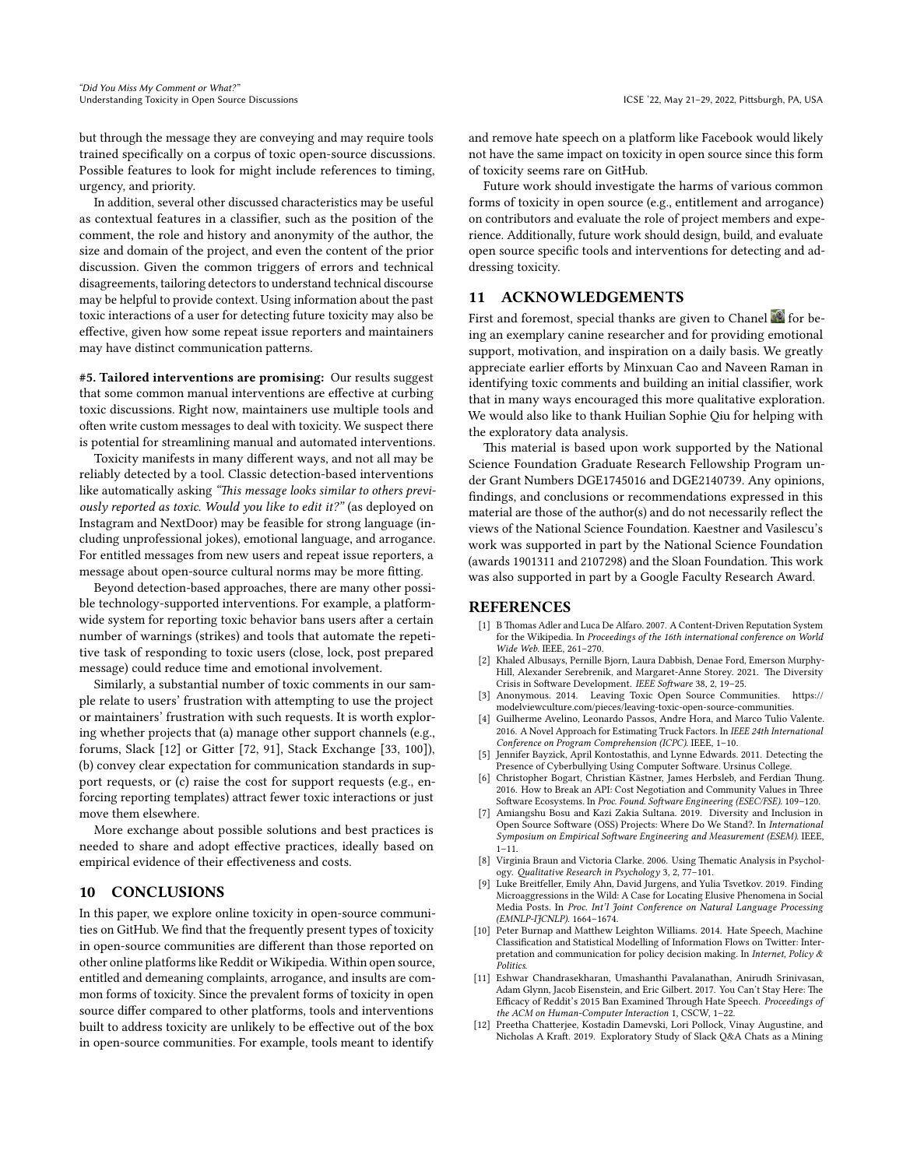but through the message they are conveying and may require tools trained specifically on a corpus of toxic open-source discussions. Possible features to look for might include references to timing, urgency, and priority.

In addition, several other discussed characteristics may be useful as contextual features in a classifier, such as the position of the comment, the role and history and anonymity of the author, the size and domain of the project, and even the content of the prior discussion. Given the common triggers of errors and technical disagreements, tailoring detectors to understand technical discourse may be helpful to provide context. Using information about the past toxic interactions of a user for detecting future toxicity may also be effective, given how some repeat issue reporters and maintainers may have distinct communication patterns.

#5. Tailored interventions are promising: Our results suggest that some common manual interventions are effective at curbing toxic discussions. Right now, maintainers use multiple tools and often write custom messages to deal with toxicity. We suspect there is potential for streamlining manual and automated interventions.

Toxicity manifests in many different ways, and not all may be reliably detected by a tool. Classic detection-based interventions like automatically asking "This message looks similar to others previously reported as toxic. Would you like to edit it?" (as deployed on Instagram and NextDoor) may be feasible for strong language (including unprofessional jokes), emotional language, and arrogance. For entitled messages from new users and repeat issue reporters, a message about open-source cultural norms may be more fitting.

Beyond detection-based approaches, there are many other possible technology-supported interventions. For example, a platformwide system for reporting toxic behavior bans users after a certain number of warnings (strikes) and tools that automate the repetitive task of responding to toxic users (close, lock, post prepared message) could reduce time and emotional involvement.

Similarly, a substantial number of toxic comments in our sample relate to users' frustration with attempting to use the project or maintainers' frustration with such requests. It is worth exploring whether projects that (a) manage other support channels (e.g., forums, Slack [\[12\]](#page-10-11) or Gitter [\[72,](#page-12-44) [91\]](#page-12-45), Stack Exchange [\[33,](#page-11-32) [100\]](#page-12-46)), (b) convey clear expectation for communication standards in support requests, or (c) raise the cost for support requests (e.g., enforcing reporting templates) attract fewer toxic interactions or just move them elsewhere.

More exchange about possible solutions and best practices is needed to share and adopt effective practices, ideally based on empirical evidence of their effectiveness and costs.

#### 10 CONCLUSIONS

In this paper, we explore online toxicity in open-source communities on GitHub. We find that the frequently present types of toxicity in open-source communities are different than those reported on other online platforms like Reddit or Wikipedia. Within open source, entitled and demeaning complaints, arrogance, and insults are common forms of toxicity. Since the prevalent forms of toxicity in open source differ compared to other platforms, tools and interventions built to address toxicity are unlikely to be effective out of the box in open-source communities. For example, tools meant to identify

and remove hate speech on a platform like Facebook would likely not have the same impact on toxicity in open source since this form of toxicity seems rare on GitHub.

Future work should investigate the harms of various common forms of toxicity in open source (e.g., entitlement and arrogance) on contributors and evaluate the role of project members and experience. Additionally, future work should design, build, and evaluate open source specific tools and interventions for detecting and addressing toxicity.

#### 11 ACKNOWLEDGEMENTS

First and foremost, special thanks are given to Chanel  $\blacksquare$  for being an exemplary canine researcher and for providing emotional support, motivation, and inspiration on a daily basis. We greatly appreciate earlier efforts by Minxuan Cao and Naveen Raman in identifying toxic comments and building an initial classifier, work that in many ways encouraged this more qualitative exploration. We would also like to thank Huilian Sophie Qiu for helping with the exploratory data analysis.

This material is based upon work supported by the National Science Foundation Graduate Research Fellowship Program under Grant Numbers DGE1745016 and DGE2140739. Any opinions, findings, and conclusions or recommendations expressed in this material are those of the author(s) and do not necessarily reflect the views of the National Science Foundation. Kaestner and Vasilescu's work was supported in part by the National Science Foundation (awards 1901311 and 2107298) and the Sloan Foundation. This work was also supported in part by a Google Faculty Research Award.

#### REFERENCES

- <span id="page-10-6"></span>[1] B Thomas Adler and Luca De Alfaro. 2007. A Content-Driven Reputation System for the Wikipedia. In Proceedings of the 16th international conference on World Wide Web. IEEE, 261–270.
- <span id="page-10-2"></span>[2] Khaled Albusays, Pernille Bjorn, Laura Dabbish, Denae Ford, Emerson Murphy-Hill, Alexander Serebrenik, and Margaret-Anne Storey. 2021. The Diversity Crisis in Software Development. IEEE Software 38, 2, 19–25.
- <span id="page-10-0"></span>[3] Anonymous. 2014. Leaving Toxic Open Source Communities. [https://](https://modelviewculture.com/pieces/leaving-toxic-open-source-communities) [modelviewculture.com/pieces/leaving-toxic-open-source-communities.](https://modelviewculture.com/pieces/leaving-toxic-open-source-communities)
- <span id="page-10-1"></span>[4] Guilherme Avelino, Leonardo Passos, Andre Hora, and Marco Tulio Valente. 2016. A Novel Approach for Estimating Truck Factors. In IEEE 24th International Conference on Program Comprehension (ICPC). IEEE, 1–10.
- <span id="page-10-5"></span>[5] Jennifer Bayzick, April Kontostathis, and Lynne Edwards. 2011. Detecting the Presence of Cyberbullying Using Computer Software. Ursinus College.
- <span id="page-10-10"></span>[6] Christopher Bogart, Christian Kästner, James Herbsleb, and Ferdian Thung. 2016. How to Break an API: Cost Negotiation and Community Values in Three Software Ecosystems. In Proc. Found. Software Engineering (ESEC/FSE). 109–120.
- <span id="page-10-8"></span>[7] Amiangshu Bosu and Kazi Zakia Sultana. 2019. Diversity and Inclusion in Open Source Software (OSS) Projects: Where Do We Stand?. In International Symposium on Empirical Software Engineering and Measurement (ESEM). IEEE, 1–11.
- <span id="page-10-9"></span>[8] Virginia Braun and Victoria Clarke. 2006. Using Thematic Analysis in Psychology. Qualitative Research in Psychology 3, 2, 77–101.
- <span id="page-10-4"></span>[9] Luke Breitfeller, Emily Ahn, David Jurgens, and Yulia Tsvetkov. 2019. Finding Microaggressions in the Wild: A Case for Locating Elusive Phenomena in Social Media Posts. In Proc. Int'l Joint Conference on Natural Language Processing (EMNLP-IJCNLP). 1664–1674.
- <span id="page-10-3"></span>[10] Peter Burnap and Matthew Leighton Williams. 2014. Hate Speech, Machine Classification and Statistical Modelling of Information Flows on Twitter: Interpretation and communication for policy decision making. In Internet, Policy & .<br>Politics.
- <span id="page-10-7"></span>[11] Eshwar Chandrasekharan, Umashanthi Pavalanathan, Anirudh Srinivasan, Adam Glynn, Jacob Eisenstein, and Eric Gilbert. 2017. You Can't Stay Here: The Efficacy of Reddit's 2015 Ban Examined Through Hate Speech. Proceedings of the ACM on Human-Computer Interaction 1, CSCW, 1-22.
- <span id="page-10-11"></span>[12] Preetha Chatterjee, Kostadin Damevski, Lori Pollock, Vinay Augustine, and Nicholas A Kraft. 2019. Exploratory Study of Slack Q&A Chats as a Mining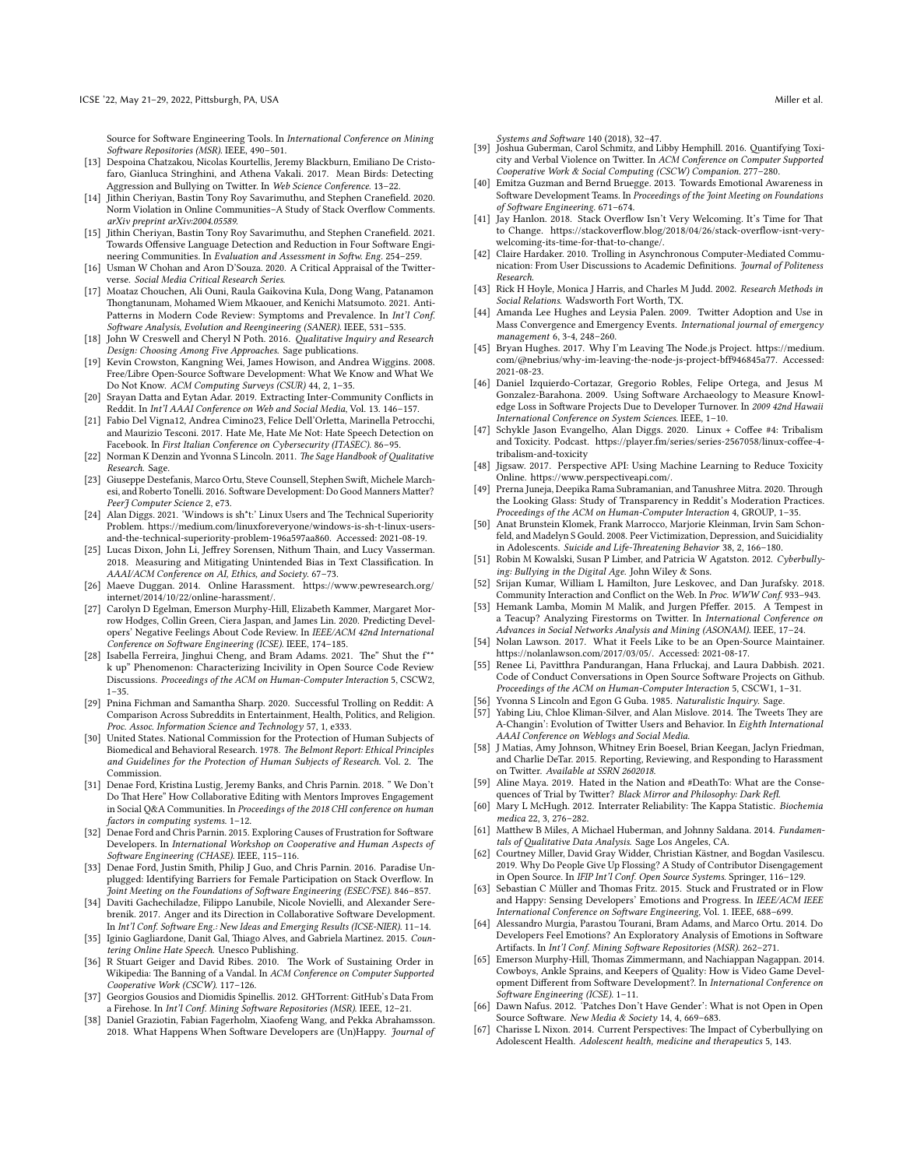Source for Software Engineering Tools. In International Conference on Mining Software Repositories (MSR). IEEE, 490–501.

- <span id="page-11-29"></span>[13] Despoina Chatzakou, Nicolas Kourtellis, Jeremy Blackburn, Emiliano De Cristofaro, Gianluca Stringhini, and Athena Vakali. 2017. Mean Birds: Detecting Aggression and Bullying on Twitter. In Web Science Conference. 13–22.
- <span id="page-11-30"></span>[14] Jithin Cheriyan, Bastin Tony Roy Savarimuthu, and Stephen Cranefield. 2020. Norm Violation in Online Communities–A Study of Stack Overflow Comments. arXiv preprint arXiv:2004.05589.
- <span id="page-11-34"></span>[15] Jithin Cheriyan, Bastin Tony Roy Savarimuthu, and Stephen Cranefield. 2021. Towards Offensive Language Detection and Reduction in Four Software Engineering Communities. In Evaluation and Assessment in Softw. Eng. 254–259.
- <span id="page-11-27"></span>[16] Usman W Chohan and Aron D'Souza. 2020. A Critical Appraisal of the Twitterverse. Social Media Critical Research Series.
- <span id="page-11-4"></span>[17] Moataz Chouchen, Ali Ouni, Raula Gaikovina Kula, Dong Wang, Patanamon Thongtanunam, Mohamed Wiem Mkaouer, and Kenichi Matsumoto. 2021. Anti-Patterns in Modern Code Review: Symptoms and Prevalence. In Int'l Conf. Software Analysis, Evolution and Reengineering (SANER). IEEE, 531–535.
- <span id="page-11-50"></span>[18] John W Creswell and Cheryl N Poth. 2016. Qualitative Inquiry and Research Design: Choosing Among Five Approaches. Sage publications.
- <span id="page-11-39"></span>[19] Kevin Crowston, Kangning Wei, James Howison, and Andrea Wiggins. 2008. Free/Libre Open-Source Software Development: What We Know and What We Do Not Know. ACM Computing Surveys (CSUR) 44, 2, 1–35.
- <span id="page-11-20"></span>[20] Srayan Datta and Eytan Adar. 2019. Extracting Inter-Community Conflicts in Reddit. In Int'l AAAI Conference on Web and Social Media, Vol. 13. 146–157.
- <span id="page-11-12"></span>[21] Fabio Del Vigna12, Andrea Cimino23, Felice Dell'Orletta, Marinella Petrocchi, and Maurizio Tesconi. 2017. Hate Me, Hate Me Not: Hate Speech Detection on Facebook. In First Italian Conference on Cybersecurity (ITASEC). 86–95.
- <span id="page-11-53"></span>[22] Norman K Denzin and Yvonna S Lincoln. 2011. The Sage Handbook of Qualitative Research. Sage.
- <span id="page-11-36"></span>[23] Giuseppe Destefanis, Marco Ortu, Steve Counsell, Stephen Swift, Michele Marchesi, and Roberto Tonelli. 2016. Software Development: Do Good Manners Matter? PeerJ Computer Science 2, e73.
- <span id="page-11-0"></span>[24] Alan Diggs. 2021. 'Windows is sh<sup>\*t</sup>:' Linux Users and The Technical Superiority Problem. [https://medium.com/linuxforeveryone/windows-is-sh-t-linux-users](https://medium.com/linuxforeveryone/windows-is-sh-t-linux-users-and-the-technical-superiority-problem-196a597aa860)[and-the-technical-superiority-problem-196a597aa860.](https://medium.com/linuxforeveryone/windows-is-sh-t-linux-users-and-the-technical-superiority-problem-196a597aa860) Accessed: 2021-08-19.
- <span id="page-11-8"></span>[25] Lucas Dixon, John Li, Jeffrey Sorensen, Nithum Thain, and Lucy Vasserman. 2018. Measuring and Mitigating Unintended Bias in Text Classification. In AAAI/ACM Conference on AI, Ethics, and Society. 67–73.
- <span id="page-11-3"></span>[26] Maeve Duggan. 2014. Online Harassment. [https://www.pewresearch.org/](https://www.pewresearch.org/internet/2014/10/22/online-harassment/) [internet/2014/10/22/online-harassment/.](https://www.pewresearch.org/internet/2014/10/22/online-harassment/)
- <span id="page-11-40"></span>[27] Carolyn D Egelman, Emerson Murphy-Hill, Elizabeth Kammer, Margaret Morrow Hodges, Collin Green, Ciera Jaspan, and James Lin. 2020. Predicting Developers' Negative Feelings About Code Review. In IEEE/ACM 42nd International Conference on Software Engineering (ICSE). IEEE, 174–185.
- <span id="page-11-35"></span>[28] Isabella Ferreira, Jinghui Cheng, and Bram Adams. 2021. The" Shut the f\*\* k up" Phenomenon: Characterizing Incivility in Open Source Code Review Discussions. Proceedings of the ACM on Human-Computer Interaction 5, CSCW2, 1–35.
- <span id="page-11-22"></span>[29] Pnina Fichman and Samantha Sharp. 2020. Successful Trolling on Reddit: A Comparison Across Subreddits in Entertainment, Health, Politics, and Religion. Proc. Assoc. Information Science and Technology 57, 1, e333.
- <span id="page-11-46"></span>[30] United States. National Commission for the Protection of Human Subjects of Biomedical and Behavioral Research. 1978. The Belmont Report: Ethical Principles and Guidelines for the Protection of Human Subjects of Research. Vol. 2. The Commission.
- <span id="page-11-31"></span>[31] Denae Ford, Kristina Lustig, Jeremy Banks, and Chris Parnin. 2018. " We Don't Do That Here" How Collaborative Editing with Mentors Improves Engagement in Social Q&A Communities. In Proceedings of the 2018 CHI conference on human factors in computing systems. 1–12.
- <span id="page-11-44"></span>[32] Denae Ford and Chris Parnin. 2015. Exploring Causes of Frustration for Software Developers. In International Workshop on Cooperative and Human Aspects of Software Engineering (CHASE). IEEE, 115–116.
- <span id="page-11-32"></span>[33] Denae Ford, Justin Smith, Philip J Guo, and Chris Parnin. 2016. Paradise Unplugged: Identifying Barriers for Female Participation on Stack Overflow. In Joint Meeting on the Foundations of Software Engineering (ESEC/FSE). 846–857.
- <span id="page-11-45"></span>[34] Daviti Gachechiladze, Filippo Lanubile, Nicole Novielli, and Alexander Serebrenik. 2017. Anger and its Direction in Collaborative Software Development. In Int'l Conf. Software Eng.: New Ideas and Emerging Results (ICSE-NIER). 11–14.
- <span id="page-11-13"></span>[35] Iginio Gagliardone, Danit Gal, Thiago Alves, and Gabriela Martinez. 2015. Countering Online Hate Speech. Unesco Publishing.
- <span id="page-11-24"></span>[36] R Stuart Geiger and David Ribes. 2010. The Work of Sustaining Order in Wikipedia: The Banning of a Vandal. In ACM Conference on Computer Supported Cooperative Work (CSCW). 117–126.
- <span id="page-11-47"></span>[37] Georgios Gousios and Diomidis Spinellis. 2012. GHTorrent: GitHub's Data From a Firehose. In Int'l Conf. Mining Software Repositories (MSR). IEEE, 12–21.
- <span id="page-11-37"></span>[38] Daniel Graziotin, Fabian Fagerholm, Xiaofeng Wang, and Pekka Abrahamsson. 2018. What Happens When Software Developers are (Un)Happy. Journal of

- <span id="page-11-25"></span>Systems and Software 140 (2018), 32–47. [39] Joshua Guberman, Carol Schmitz, and Libby Hemphill. 2016. Quantifying Toxicity and Verbal Violence on Twitter. In ACM Conference on Computer Supported Cooperative Work & Social Computing (CSCW) Companion. 277–280.
- <span id="page-11-41"></span>[40] Emitza Guzman and Bernd Bruegge, 2013. Towards Emotional Awareness in Software Development Teams. In Proceedings of the Joint Meeting on Foundations of Software Engineering. 671–674.
- <span id="page-11-33"></span>[41] Jay Hanlon. 2018. Stack Overflow Isn't Very Welcoming. It's Time for That to Change. [https://stackoverflow.blog/2018/04/26/stack-overflow-isnt-very](https://stackoverflow.blog/2018/04/26/stack-overflow-isnt-very-welcoming-its-time-for-that-to-change/)[welcoming-its-time-for-that-to-change/.](https://stackoverflow.blog/2018/04/26/stack-overflow-isnt-very-welcoming-its-time-for-that-to-change/)
- <span id="page-11-10"></span>[42] Claire Hardaker. 2010. Trolling in Asynchronous Computer-Mediated Communication: From User Discussions to Academic Definitions. Journal of Politeness Research.
- <span id="page-11-51"></span>[43] Rick H Hoyle, Monica J Harris, and Charles M Judd. 2002. Research Methods in Social Relations. Wadsworth Fort Worth, TX.
- <span id="page-11-1"></span>[44] Amanda Lee Hughes and Leysia Palen. 2009. Twitter Adoption and Use in Mass Convergence and Emergency Events. International journal of emergency management 6, 3-4, 248–260.
- <span id="page-11-18"></span>[45] Bryan Hughes. 2017. Why I'm Leaving The Node.js Project. [https://medium.](https://medium.com/@nebrius/why-im-leaving-the-node-js-project-bff946845a77) [com/@nebrius/why-im-leaving-the-node-js-project-bff946845a77.](https://medium.com/@nebrius/why-im-leaving-the-node-js-project-bff946845a77) Accessed: 2021-08-23.
- <span id="page-11-6"></span>[46] Daniel Izquierdo-Cortazar, Gregorio Robles, Felipe Ortega, and Jesus M Gonzalez-Barahona. 2009. Using Software Archaeology to Measure Knowledge Loss in Software Projects Due to Developer Turnover. In 2009 42nd Hawaii International Conference on System Sciences. IEEE, 1–10.
- <span id="page-11-19"></span>[47] Schykle Jason Evangelho, Alan Diggs. 2020. Linux + Coffee #4: Tribalism and Toxicity. Podcast. [https://player.fm/series/series-2567058/linux-coffee-4](https://player.fm/series/series-2567058/linux-coffee-4-tribalism-and-toxicity) [tribalism-and-toxicity](https://player.fm/series/series-2567058/linux-coffee-4-tribalism-and-toxicity)
- <span id="page-11-9"></span>[48] Jigsaw. 2017. Perspective API: Using Machine Learning to Reduce Toxicity Online. [https://www.perspectiveapi.com/.](https://www.perspectiveapi.com/)
- <span id="page-11-23"></span>[49] Prerna Juneja, Deepika Rama Subramanian, and Tanushree Mitra. 2020. Through the Looking Glass: Study of Transparency in Reddit's Moderation Practices. Proceedings of the ACM on Human-Computer Interaction 4, GROUP, 1–35.
- <span id="page-11-15"></span>[50] Anat Brunstein Klomek, Frank Marrocco, Marjorie Kleinman, Irvin Sam Schonfeld, and Madelyn S Gould. 2008. Peer Victimization, Depression, and Suicidiality in Adolescents. Suicide and Life-Threatening Behavior 38, 2, 166–180.
- <span id="page-11-14"></span>[51] Robin M Kowalski, Susan P Limber, and Patricia W Agatston. 2012. Cyberbullying: Bullying in the Digital Age. John Wiley & Sons.
- <span id="page-11-21"></span>[52] Srijan Kumar, William L Hamilton, Jure Leskovec, and Dan Jurafsky. 2018. Community Interaction and Conflict on the Web. In Proc. WWW Conf. 933–943.
- <span id="page-11-11"></span>[53] Hemank Lamba, Momin M Malik, and Jurgen Pfeffer. 2015. A Tempest in a Teacup? Analyzing Firestorms on Twitter. In International Conference on Advances in Social Networks Analysis and Mining (ASONAM). IEEE, 17–24.
- <span id="page-11-2"></span>[54] Nolan Lawson. 2017. What it Feels Like to be an Open-Source Maintainer. [https://nolanlawson.com/2017/03/05/.](https://nolanlawson.com/2017/03/05/) Accessed: 2021-08-17.
- <span id="page-11-5"></span>[55] Renee Li, Pavitthra Pandurangan, Hana Frluckaj, and Laura Dabbish. 2021. Code of Conduct Conversations in Open Source Software Projects on Github. Proceedings of the ACM on Human-Computer Interaction 5, CSCW1, 1–31.
- <span id="page-11-49"></span>Yvonna S Lincoln and Egon G Guba. 1985. Naturalistic Inquiry. Sage.
- <span id="page-11-17"></span>[57] Yabing Liu, Chloe Kliman-Silver, and Alan Mislove. 2014. The Tweets They are A-Changin': Evolution of Twitter Users and Behavior. In Eighth International AAAI Conference on Weblogs and Social Media.
- <span id="page-11-26"></span>[58] J Matias, Amy Johnson, Whitney Erin Boesel, Brian Keegan, Jaclyn Friedman, and Charlie DeTar. 2015. Reporting, Reviewing, and Responding to Harassment on Twitter. Available at SSRN 2602018.
- <span id="page-11-28"></span>[59] Aline Maya. 2019. Hated in the Nation and #DeathTo: What are the Consequences of Trial by Twitter? Black Mirror and Philosophy: Dark Refl.
- <span id="page-11-48"></span>[60] Mary L McHugh. 2012. Interrater Reliability: The Kappa Statistic. Biochemia medica 22, 3, 276–282.
- <span id="page-11-52"></span>[61] Matthew B Miles, A Michael Huberman, and Johnny Saldana. 2014. Fundamentals of Qualitative Data Analysis. Sage Los Angeles, CA.
- <span id="page-11-38"></span>[62] Courtney Miller, David Gray Widder, Christian Kästner, and Bogdan Vasilescu. 2019. Why Do People Give Up Flossing? A Study of Contributor Disengagement in Open Source. In IFIP Int'l Conf. Open Source Systems. Springer, 116–129.
- <span id="page-11-42"></span>[63] Sebastian C Müller and Thomas Fritz. 2015. Stuck and Frustrated or in Flow and Happy: Sensing Developers' Emotions and Progress. In IEEE/ACM IEEE International Conference on Software Engineering, Vol. 1. IEEE, 688–699.
- <span id="page-11-43"></span>[64] Alessandro Murgia, Parastou Tourani, Bram Adams, and Marco Ortu. 2014. Do Developers Feel Emotions? An Exploratory Analysis of Emotions in Software Artifacts. In Int'l Conf. Mining Software Repositories (MSR). 262–271.
- <span id="page-11-54"></span>[65] Emerson Murphy-Hill, Thomas Zimmermann, and Nachiappan Nagappan. 2014. Cowboys, Ankle Sprains, and Keepers of Quality: How is Video Game Development Different from Software Development?. In International Conference on Software Engineering (ICSE). 1–11.
- <span id="page-11-7"></span>[66] Dawn Nafus. 2012. 'Patches Don't Have Gender': What is not Open in Open Source Software. New Media & Society 14, 4, 669–683.
- <span id="page-11-16"></span>[67] Charisse L Nixon. 2014. Current Perspectives: The Impact of Cyberbullying on Adolescent Health. Adolescent health, medicine and therapeutics 5, 143.